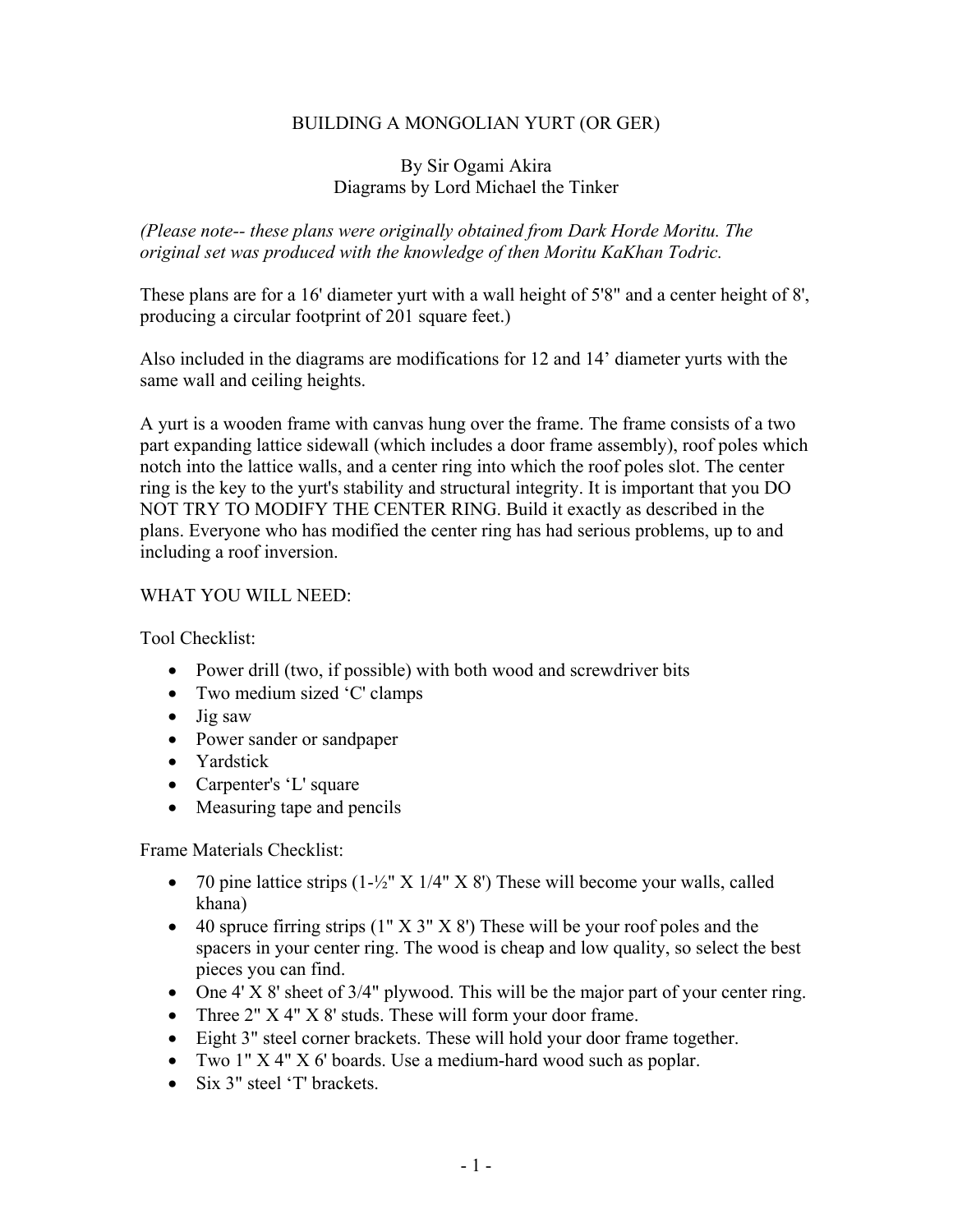## BUILDING A MONGOLIAN YURT (OR GER)

#### By Sir Ogami Akira Diagrams by Lord Michael the Tinker

*(Please note-- these plans were originally obtained from Dark Horde Moritu. The original set was produced with the knowledge of then Moritu KaKhan Todric.* 

These plans are for a 16' diameter yurt with a wall height of 5'8" and a center height of 8', producing a circular footprint of 201 square feet.)

Also included in the diagrams are modifications for 12 and 14' diameter yurts with the same wall and ceiling heights.

A yurt is a wooden frame with canvas hung over the frame. The frame consists of a two part expanding lattice sidewall (which includes a door frame assembly), roof poles which notch into the lattice walls, and a center ring into which the roof poles slot. The center ring is the key to the yurt's stability and structural integrity. It is important that you DO NOT TRY TO MODIFY THE CENTER RING. Build it exactly as described in the plans. Everyone who has modified the center ring has had serious problems, up to and including a roof inversion.

#### WHAT YOU WILL NEED:

Tool Checklist:

- Power drill (two, if possible) with both wood and screwdriver bits
- Two medium sized 'C' clamps
- Jig saw
- Power sander or sandpaper
- Yardstick
- Carpenter's 'L' square
- Measuring tape and pencils

Frame Materials Checklist:

- 70 pine lattice strips  $(1-\frac{1}{2}$ " X 1/4" X 8") These will become your walls, called khana)
- 40 spruce firring strips  $(1'' \times 3'' \times 8')$  These will be your roof poles and the spacers in your center ring. The wood is cheap and low quality, so select the best pieces you can find.
- One 4' X 8' sheet of 3/4" plywood. This will be the major part of your center ring.
- Three 2" X 4" X 8' studs. These will form your door frame.
- Eight 3" steel corner brackets. These will hold your door frame together.
- Two 1" X 4" X 6' boards. Use a medium-hard wood such as poplar.
- Six 3" steel 'T' brackets.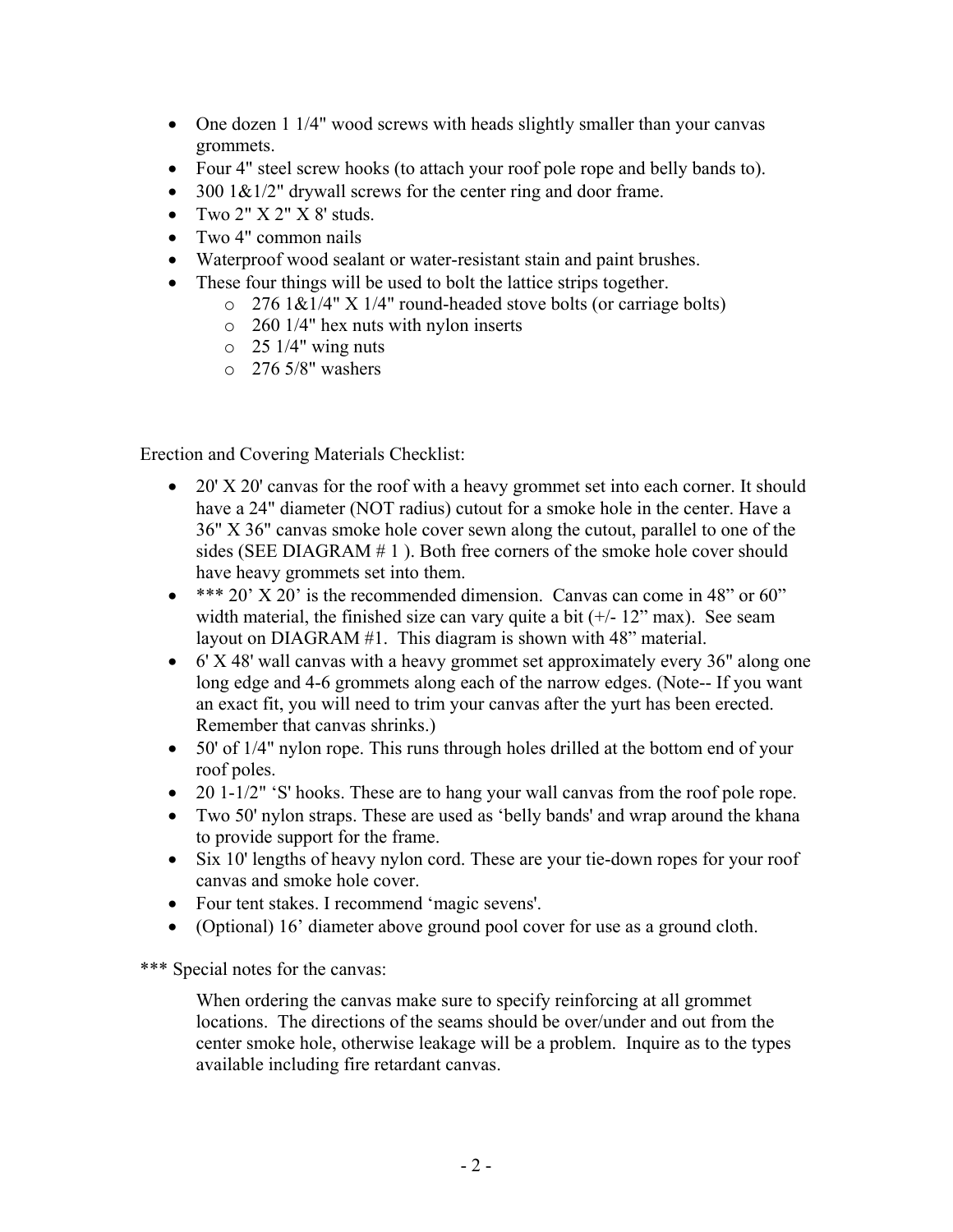- One dozen 1 1/4" wood screws with heads slightly smaller than your canvas grommets.
- Four 4" steel screw hooks (to attach your roof pole rope and belly bands to).
- 300  $1\&1/2$ " drywall screws for the center ring and door frame.
- Two  $2" X 2" X 8'$  studs.
- Two 4" common nails
- Waterproof wood sealant or water-resistant stain and paint brushes.
- These four things will be used to bolt the lattice strips together.
	- $\degree$  276 1&1/4" X 1/4" round-headed stove bolts (or carriage bolts)
	- o 260 1/4" hex nuts with nylon inserts
	- $\circ$  25 1/4" wing nuts
	- o 276 5/8" washers

Erection and Covering Materials Checklist:

- 20' X 20' canvas for the roof with a heavy grommet set into each corner. It should have a 24" diameter (NOT radius) cutout for a smoke hole in the center. Have a 36" X 36" canvas smoke hole cover sewn along the cutout, parallel to one of the sides (SEE DIAGRAM # 1 ). Both free corners of the smoke hole cover should have heavy grommets set into them.
- $\bullet$  \*\*\* 20' X 20' is the recommended dimension. Canvas can come in 48" or 60" width material, the finished size can vary quite a bit  $(+/- 12$ " max). See seam layout on DIAGRAM #1. This diagram is shown with 48" material.
- 6' X 48' wall canvas with a heavy grommet set approximately every 36" along one long edge and 4-6 grommets along each of the narrow edges. (Note-- If you want an exact fit, you will need to trim your canvas after the yurt has been erected. Remember that canvas shrinks.)
- 50' of 1/4" nylon rope. This runs through holes drilled at the bottom end of your roof poles.
- 20 1-1/2" 'S' hooks. These are to hang your wall canvas from the roof pole rope.
- Two 50' nylon straps. These are used as 'belly bands' and wrap around the khana to provide support for the frame.
- Six 10' lengths of heavy nylon cord. These are your tie-down ropes for your roof canvas and smoke hole cover.
- Four tent stakes. I recommend 'magic sevens'.
- (Optional) 16' diameter above ground pool cover for use as a ground cloth.

\*\*\* Special notes for the canvas:

When ordering the canvas make sure to specify reinforcing at all grommet locations. The directions of the seams should be over/under and out from the center smoke hole, otherwise leakage will be a problem. Inquire as to the types available including fire retardant canvas.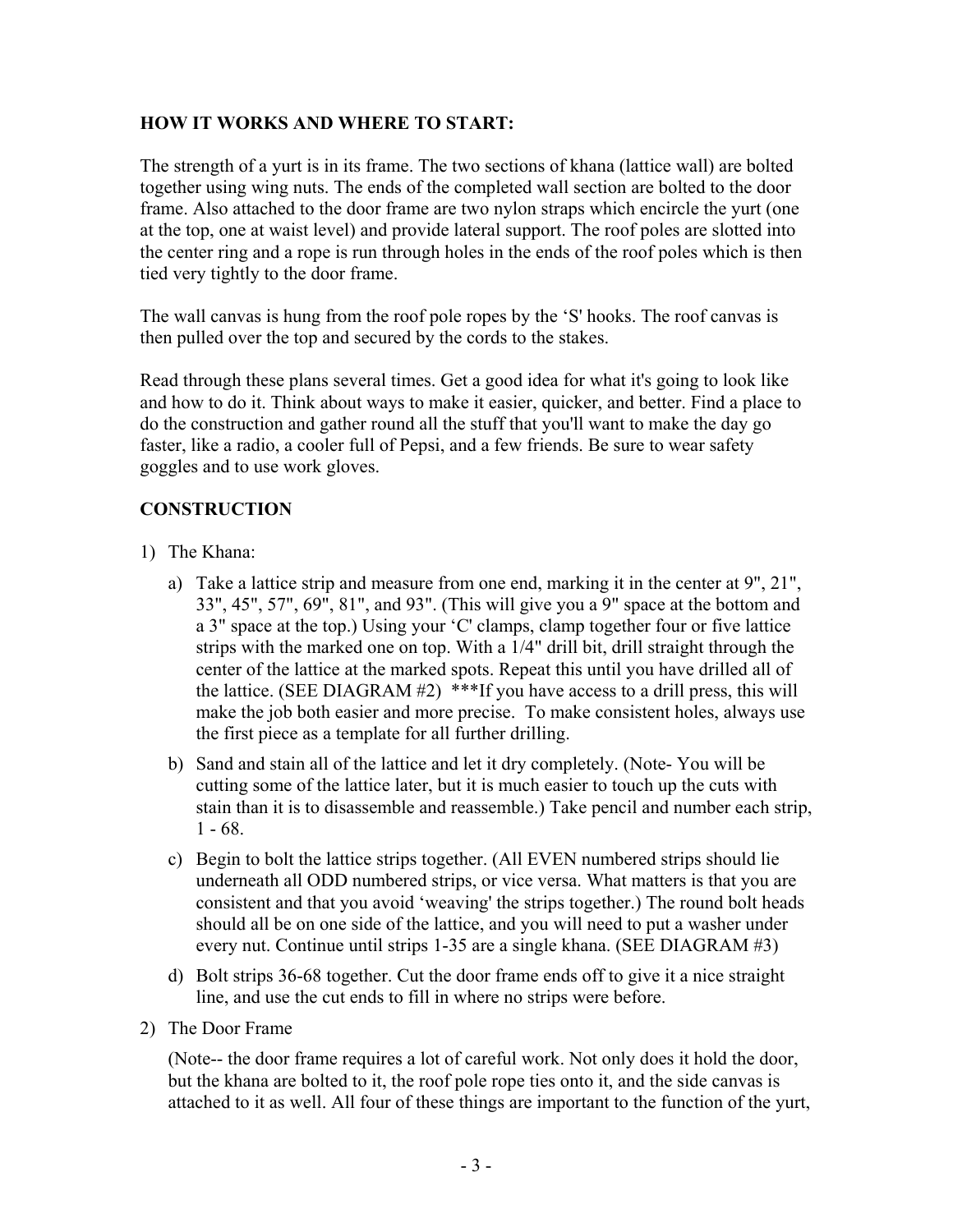## **HOW IT WORKS AND WHERE TO START:**

The strength of a yurt is in its frame. The two sections of khana (lattice wall) are bolted together using wing nuts. The ends of the completed wall section are bolted to the door frame. Also attached to the door frame are two nylon straps which encircle the yurt (one at the top, one at waist level) and provide lateral support. The roof poles are slotted into the center ring and a rope is run through holes in the ends of the roof poles which is then tied very tightly to the door frame.

The wall canvas is hung from the roof pole ropes by the 'S' hooks. The roof canvas is then pulled over the top and secured by the cords to the stakes.

Read through these plans several times. Get a good idea for what it's going to look like and how to do it. Think about ways to make it easier, quicker, and better. Find a place to do the construction and gather round all the stuff that you'll want to make the day go faster, like a radio, a cooler full of Pepsi, and a few friends. Be sure to wear safety goggles and to use work gloves.

# **CONSTRUCTION**

- 1) The Khana:
	- a) Take a lattice strip and measure from one end, marking it in the center at 9", 21", 33", 45", 57", 69", 81", and 93". (This will give you a 9" space at the bottom and a 3" space at the top.) Using your 'C' clamps, clamp together four or five lattice strips with the marked one on top. With a 1/4" drill bit, drill straight through the center of the lattice at the marked spots. Repeat this until you have drilled all of the lattice. (SEE DIAGRAM #2) \*\*\*If you have access to a drill press, this will make the job both easier and more precise. To make consistent holes, always use the first piece as a template for all further drilling.
	- b) Sand and stain all of the lattice and let it dry completely. (Note- You will be cutting some of the lattice later, but it is much easier to touch up the cuts with stain than it is to disassemble and reassemble.) Take pencil and number each strip,  $1 - 68$ .
	- c) Begin to bolt the lattice strips together. (All EVEN numbered strips should lie underneath all ODD numbered strips, or vice versa. What matters is that you are consistent and that you avoid 'weaving' the strips together.) The round bolt heads should all be on one side of the lattice, and you will need to put a washer under every nut. Continue until strips 1-35 are a single khana. (SEE DIAGRAM #3)
	- d) Bolt strips 36-68 together. Cut the door frame ends off to give it a nice straight line, and use the cut ends to fill in where no strips were before.
- 2) The Door Frame

(Note-- the door frame requires a lot of careful work. Not only does it hold the door, but the khana are bolted to it, the roof pole rope ties onto it, and the side canvas is attached to it as well. All four of these things are important to the function of the yurt,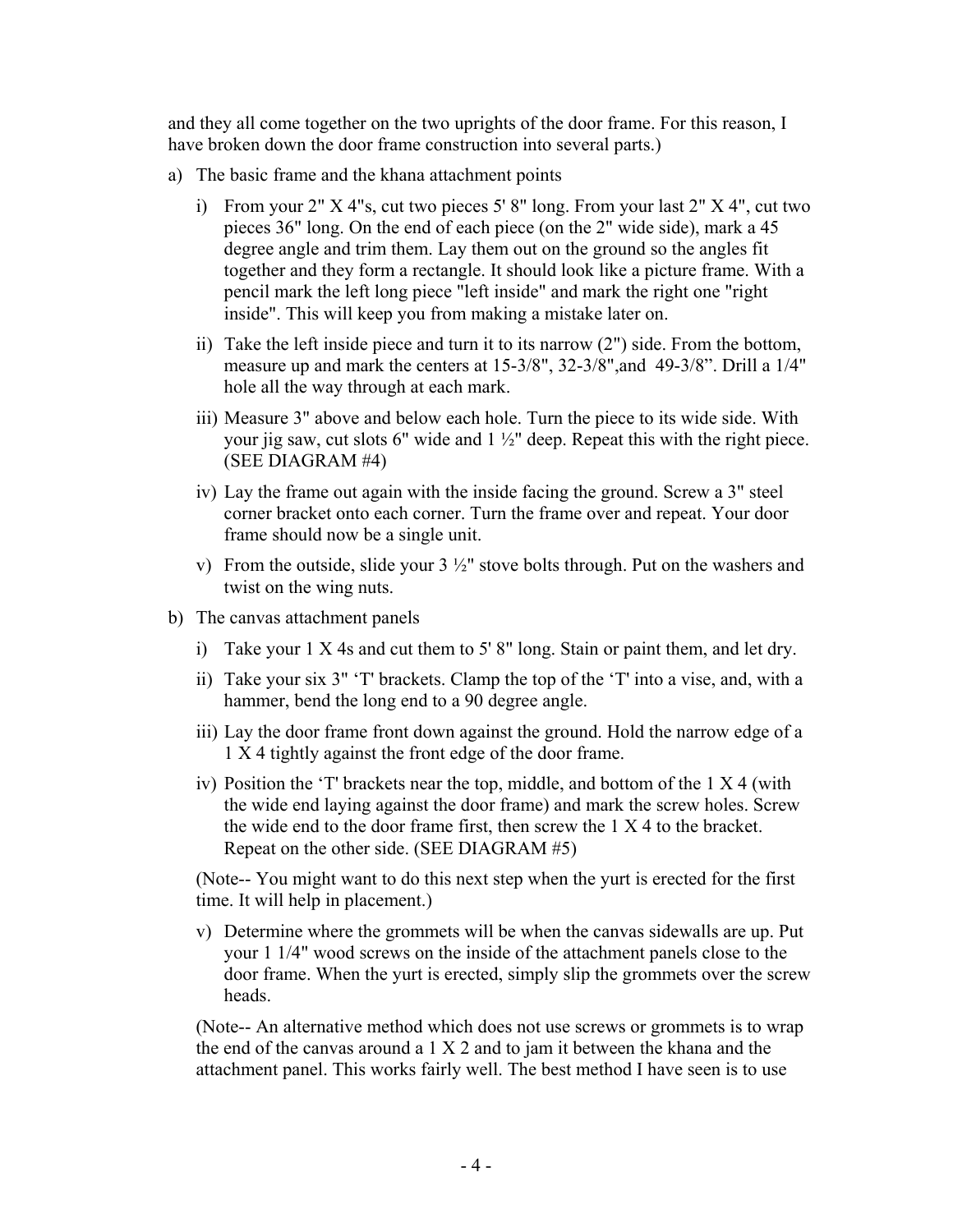and they all come together on the two uprights of the door frame. For this reason, I have broken down the door frame construction into several parts.)

- a) The basic frame and the khana attachment points
	- i) From your  $2''$  X 4"s, cut two pieces  $5'$  8" long. From your last  $2''$  X 4", cut two pieces 36" long. On the end of each piece (on the 2" wide side), mark a 45 degree angle and trim them. Lay them out on the ground so the angles fit together and they form a rectangle. It should look like a picture frame. With a pencil mark the left long piece "left inside" and mark the right one "right inside". This will keep you from making a mistake later on.
	- ii) Take the left inside piece and turn it to its narrow (2") side. From the bottom, measure up and mark the centers at 15-3/8", 32-3/8",and 49-3/8". Drill a 1/4" hole all the way through at each mark.
	- iii) Measure 3" above and below each hole. Turn the piece to its wide side. With your jig saw, cut slots 6" wide and 1 ½" deep. Repeat this with the right piece. (SEE DIAGRAM #4)
	- iv) Lay the frame out again with the inside facing the ground. Screw a 3" steel corner bracket onto each corner. Turn the frame over and repeat. Your door frame should now be a single unit.
	- v) From the outside, slide your  $3\frac{1}{2}$ " stove bolts through. Put on the washers and twist on the wing nuts.
- b) The canvas attachment panels
	- i) Take your 1 X 4s and cut them to 5' 8" long. Stain or paint them, and let dry.
	- ii) Take your six 3" 'T' brackets. Clamp the top of the 'T' into a vise, and, with a hammer, bend the long end to a 90 degree angle.
	- iii) Lay the door frame front down against the ground. Hold the narrow edge of a 1 X 4 tightly against the front edge of the door frame.
	- iv) Position the 'T' brackets near the top, middle, and bottom of the 1 X 4 (with the wide end laying against the door frame) and mark the screw holes. Screw the wide end to the door frame first, then screw the 1 X 4 to the bracket. Repeat on the other side. (SEE DIAGRAM #5)

(Note-- You might want to do this next step when the yurt is erected for the first time. It will help in placement.)

v) Determine where the grommets will be when the canvas sidewalls are up. Put your 1 1/4" wood screws on the inside of the attachment panels close to the door frame. When the yurt is erected, simply slip the grommets over the screw heads.

(Note-- An alternative method which does not use screws or grommets is to wrap the end of the canvas around a 1 X 2 and to jam it between the khana and the attachment panel. This works fairly well. The best method I have seen is to use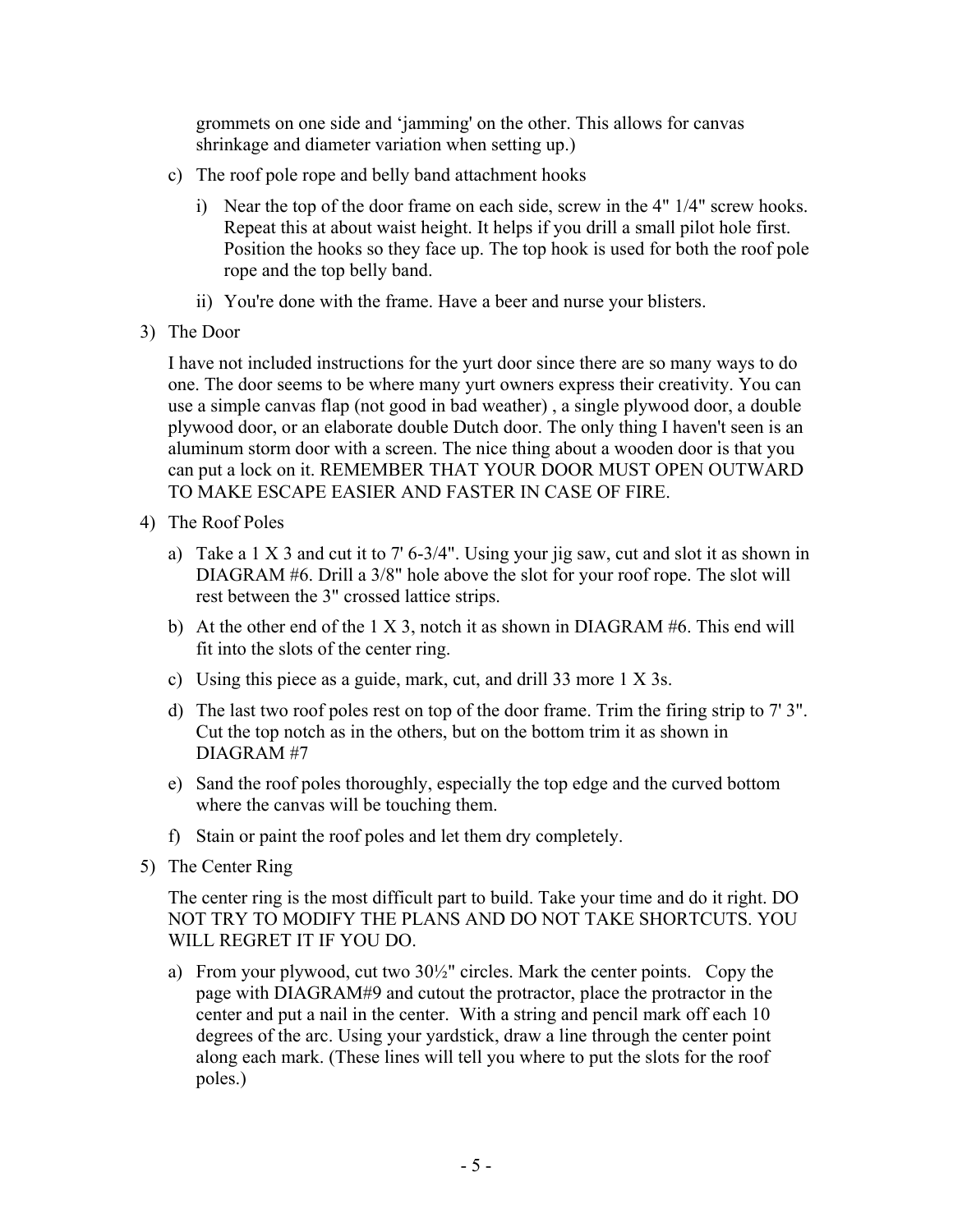grommets on one side and 'jamming' on the other. This allows for canvas shrinkage and diameter variation when setting up.)

- c) The roof pole rope and belly band attachment hooks
	- i) Near the top of the door frame on each side, screw in the 4" 1/4" screw hooks. Repeat this at about waist height. It helps if you drill a small pilot hole first. Position the hooks so they face up. The top hook is used for both the roof pole rope and the top belly band.
	- ii) You're done with the frame. Have a beer and nurse your blisters.
- 3) The Door

I have not included instructions for the yurt door since there are so many ways to do one. The door seems to be where many yurt owners express their creativity. You can use a simple canvas flap (not good in bad weather) , a single plywood door, a double plywood door, or an elaborate double Dutch door. The only thing I haven't seen is an aluminum storm door with a screen. The nice thing about a wooden door is that you can put a lock on it. REMEMBER THAT YOUR DOOR MUST OPEN OUTWARD TO MAKE ESCAPE EASIER AND FASTER IN CASE OF FIRE.

- 4) The Roof Poles
	- a) Take a  $1 \times 3$  and cut it to  $7'$  6-3/4". Using your jig saw, cut and slot it as shown in DIAGRAM #6. Drill a 3/8" hole above the slot for your roof rope. The slot will rest between the 3" crossed lattice strips.
	- b) At the other end of the 1 X 3, notch it as shown in DIAGRAM #6. This end will fit into the slots of the center ring.
	- c) Using this piece as a guide, mark, cut, and drill 33 more 1 X 3s.
	- d) The last two roof poles rest on top of the door frame. Trim the firing strip to 7' 3". Cut the top notch as in the others, but on the bottom trim it as shown in DIAGRAM #7
	- e) Sand the roof poles thoroughly, especially the top edge and the curved bottom where the canvas will be touching them.
	- f) Stain or paint the roof poles and let them dry completely.
- 5) The Center Ring

The center ring is the most difficult part to build. Take your time and do it right. DO NOT TRY TO MODIFY THE PLANS AND DO NOT TAKE SHORTCUTS. YOU WILL REGRET IT IF YOU DO.

a) From your plywood, cut two  $30\frac{1}{2}$ " circles. Mark the center points. Copy the page with DIAGRAM#9 and cutout the protractor, place the protractor in the center and put a nail in the center. With a string and pencil mark off each 10 degrees of the arc. Using your yardstick, draw a line through the center point along each mark. (These lines will tell you where to put the slots for the roof poles.)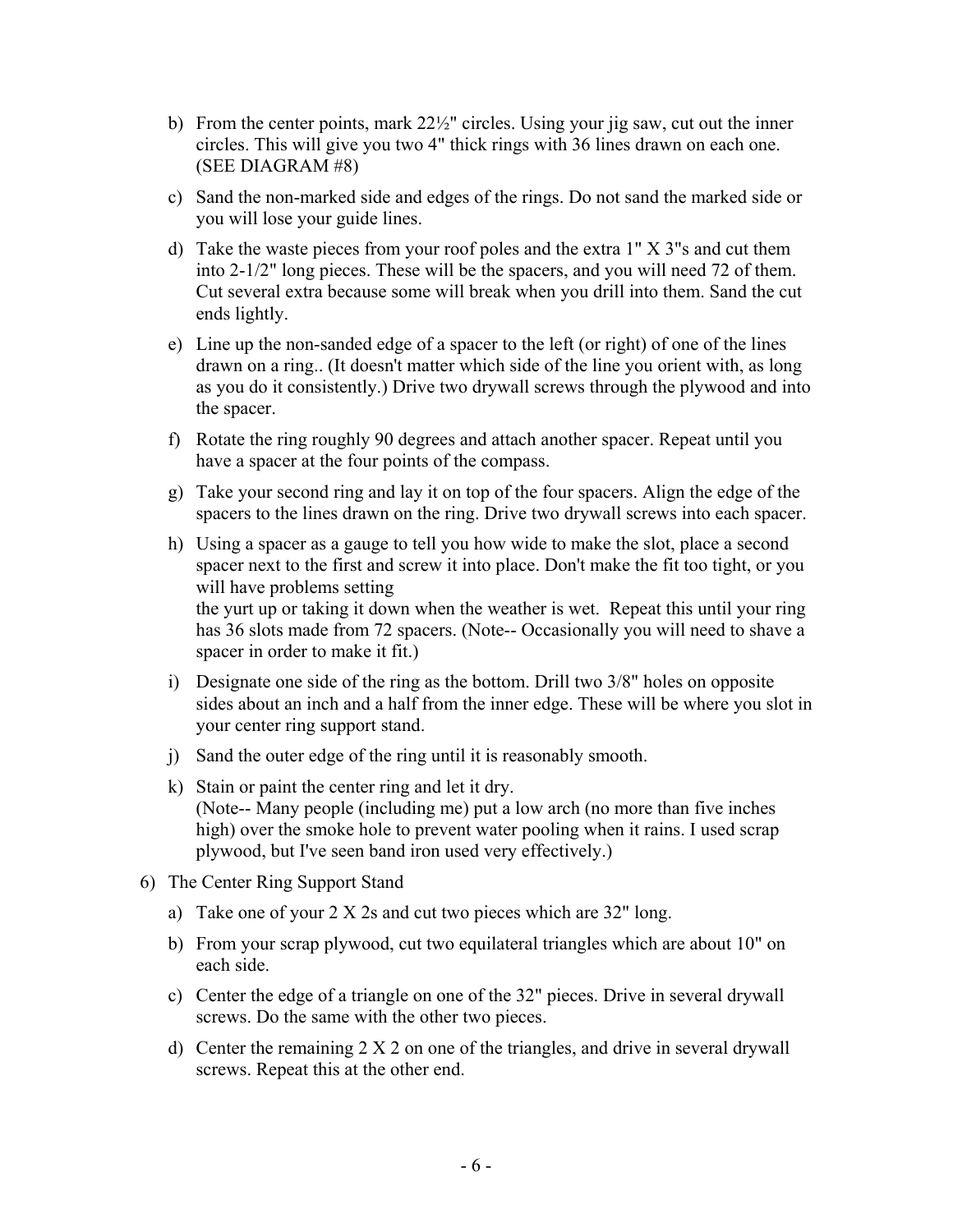- b) From the center points, mark 22½" circles. Using your jig saw, cut out the inner circles. This will give you two 4" thick rings with 36 lines drawn on each one. (SEE DIAGRAM #8)
- c) Sand the non-marked side and edges of the rings. Do not sand the marked side or you will lose your guide lines.
- d) Take the waste pieces from your roof poles and the extra 1" X 3"s and cut them into 2-1/2" long pieces. These will be the spacers, and you will need 72 of them. Cut several extra because some will break when you drill into them. Sand the cut ends lightly.
- e) Line up the non-sanded edge of a spacer to the left (or right) of one of the lines drawn on a ring.. (It doesn't matter which side of the line you orient with, as long as you do it consistently.) Drive two drywall screws through the plywood and into the spacer.
- f) Rotate the ring roughly 90 degrees and attach another spacer. Repeat until you have a spacer at the four points of the compass.
- g) Take your second ring and lay it on top of the four spacers. Align the edge of the spacers to the lines drawn on the ring. Drive two drywall screws into each spacer.
- h) Using a spacer as a gauge to tell you how wide to make the slot, place a second spacer next to the first and screw it into place. Don't make the fit too tight, or you will have problems setting the yurt up or taking it down when the weather is wet. Repeat this until your ring has 36 slots made from 72 spacers. (Note-- Occasionally you will need to shave a

spacer in order to make it fit.)

- i) Designate one side of the ring as the bottom. Drill two 3/8" holes on opposite sides about an inch and a half from the inner edge. These will be where you slot in your center ring support stand.
- j) Sand the outer edge of the ring until it is reasonably smooth.
- k) Stain or paint the center ring and let it dry. (Note-- Many people (including me) put a low arch (no more than five inches high) over the smoke hole to prevent water pooling when it rains. I used scrap plywood, but I've seen band iron used very effectively.)
- 6) The Center Ring Support Stand
	- a) Take one of your 2 X 2s and cut two pieces which are 32" long.
	- b) From your scrap plywood, cut two equilateral triangles which are about 10" on each side.
	- c) Center the edge of a triangle on one of the 32" pieces. Drive in several drywall screws. Do the same with the other two pieces.
	- d) Center the remaining 2 X 2 on one of the triangles, and drive in several drywall screws. Repeat this at the other end.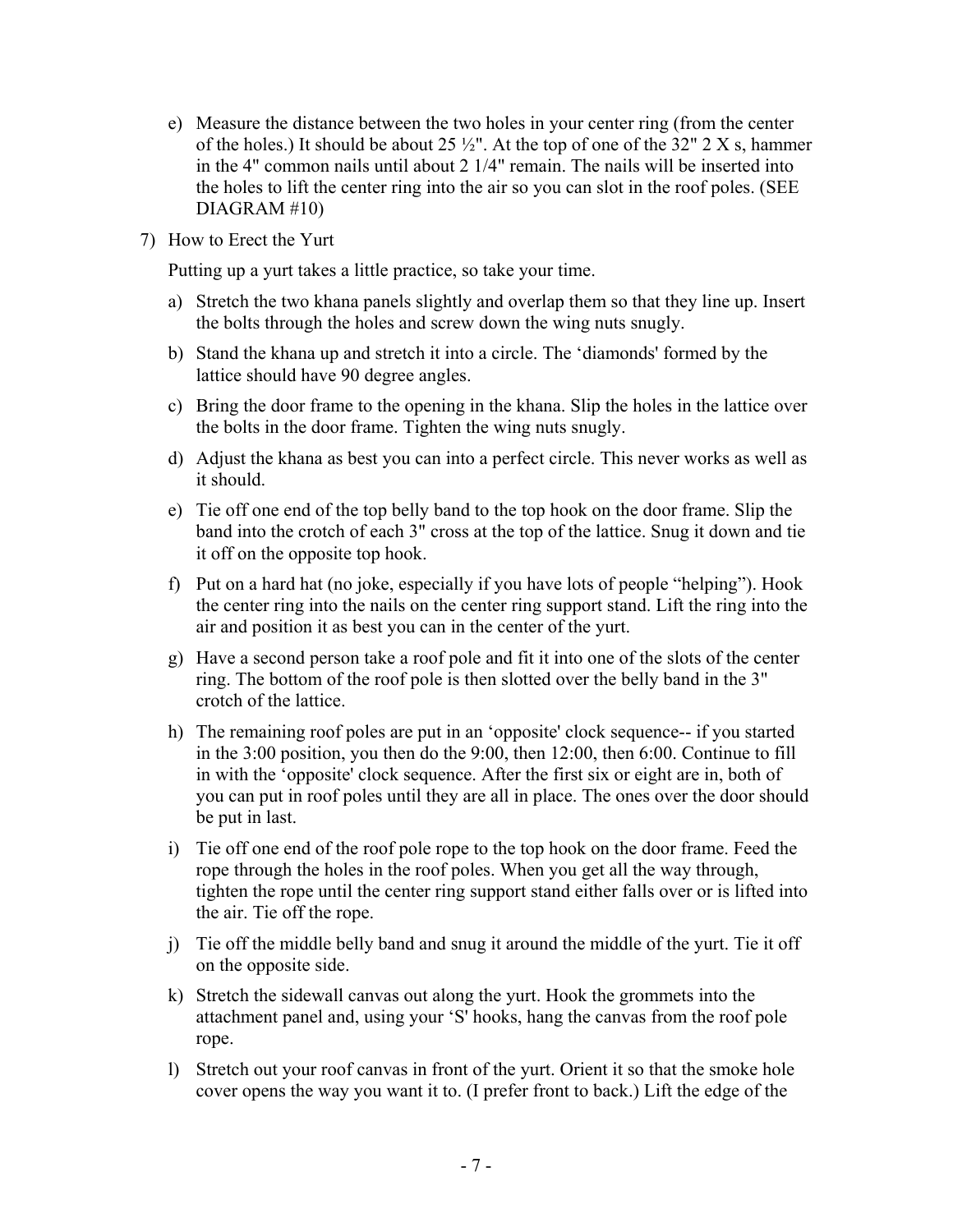- e) Measure the distance between the two holes in your center ring (from the center of the holes.) It should be about 25  $\frac{1}{2}$ ". At the top of one of the 32" 2 X s, hammer in the 4" common nails until about 2 1/4" remain. The nails will be inserted into the holes to lift the center ring into the air so you can slot in the roof poles. (SEE DIAGRAM #10)
- 7) How to Erect the Yurt

Putting up a yurt takes a little practice, so take your time.

- a) Stretch the two khana panels slightly and overlap them so that they line up. Insert the bolts through the holes and screw down the wing nuts snugly.
- b) Stand the khana up and stretch it into a circle. The 'diamonds' formed by the lattice should have 90 degree angles.
- c) Bring the door frame to the opening in the khana. Slip the holes in the lattice over the bolts in the door frame. Tighten the wing nuts snugly.
- d) Adjust the khana as best you can into a perfect circle. This never works as well as it should.
- e) Tie off one end of the top belly band to the top hook on the door frame. Slip the band into the crotch of each 3" cross at the top of the lattice. Snug it down and tie it off on the opposite top hook.
- f) Put on a hard hat (no joke, especially if you have lots of people "helping"). Hook the center ring into the nails on the center ring support stand. Lift the ring into the air and position it as best you can in the center of the yurt.
- g) Have a second person take a roof pole and fit it into one of the slots of the center ring. The bottom of the roof pole is then slotted over the belly band in the 3" crotch of the lattice.
- h) The remaining roof poles are put in an 'opposite' clock sequence-- if you started in the 3:00 position, you then do the 9:00, then 12:00, then 6:00. Continue to fill in with the 'opposite' clock sequence. After the first six or eight are in, both of you can put in roof poles until they are all in place. The ones over the door should be put in last.
- i) Tie off one end of the roof pole rope to the top hook on the door frame. Feed the rope through the holes in the roof poles. When you get all the way through, tighten the rope until the center ring support stand either falls over or is lifted into the air. Tie off the rope.
- j) Tie off the middle belly band and snug it around the middle of the yurt. Tie it off on the opposite side.
- k) Stretch the sidewall canvas out along the yurt. Hook the grommets into the attachment panel and, using your 'S' hooks, hang the canvas from the roof pole rope.
- l) Stretch out your roof canvas in front of the yurt. Orient it so that the smoke hole cover opens the way you want it to. (I prefer front to back.) Lift the edge of the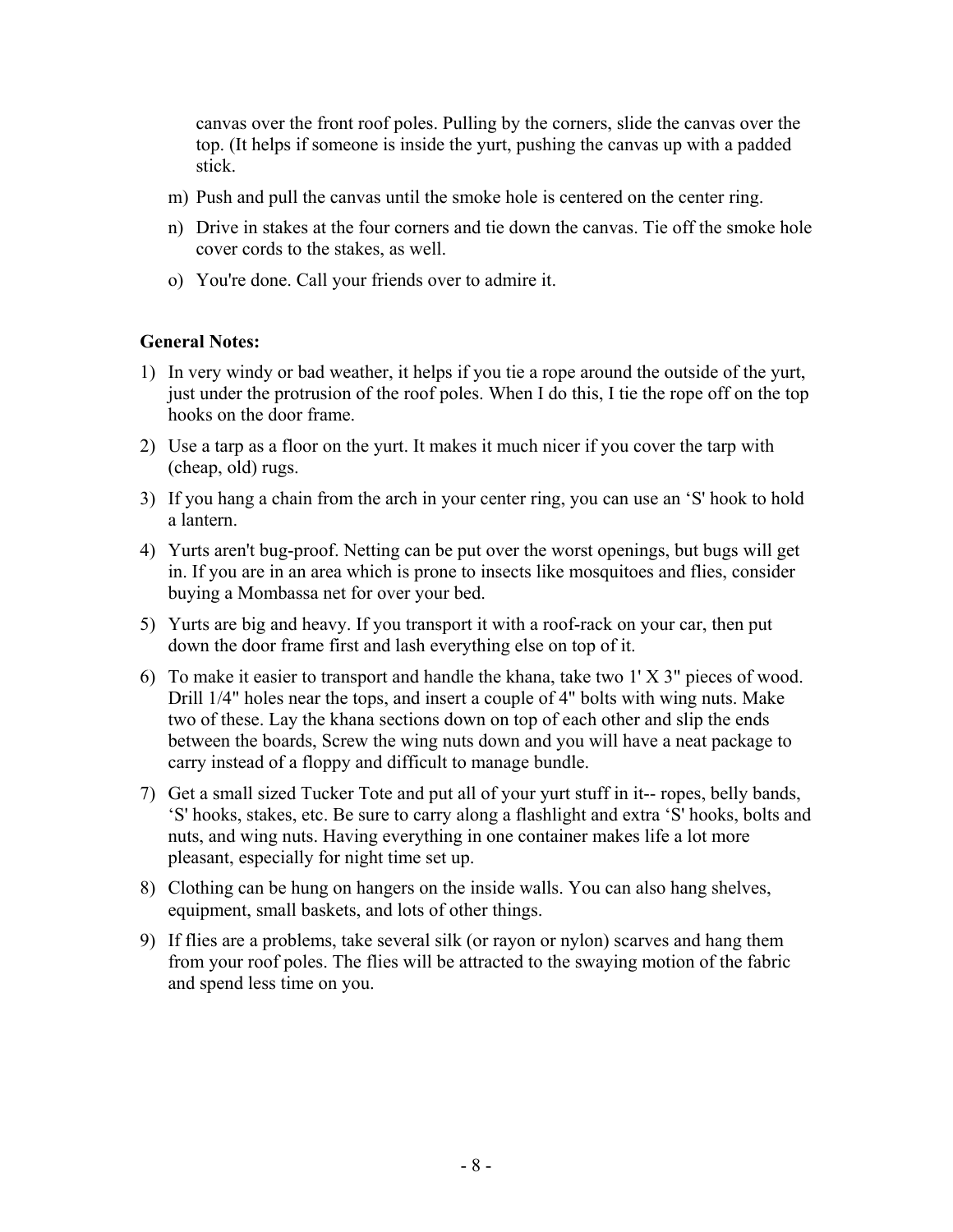canvas over the front roof poles. Pulling by the corners, slide the canvas over the top. (It helps if someone is inside the yurt, pushing the canvas up with a padded stick.

- m) Push and pull the canvas until the smoke hole is centered on the center ring.
- n) Drive in stakes at the four corners and tie down the canvas. Tie off the smoke hole cover cords to the stakes, as well.
- o) You're done. Call your friends over to admire it.

## **General Notes:**

- 1) In very windy or bad weather, it helps if you tie a rope around the outside of the yurt, just under the protrusion of the roof poles. When I do this, I tie the rope off on the top hooks on the door frame.
- 2) Use a tarp as a floor on the yurt. It makes it much nicer if you cover the tarp with (cheap, old) rugs.
- 3) If you hang a chain from the arch in your center ring, you can use an 'S' hook to hold a lantern.
- 4) Yurts aren't bug-proof. Netting can be put over the worst openings, but bugs will get in. If you are in an area which is prone to insects like mosquitoes and flies, consider buying a Mombassa net for over your bed.
- 5) Yurts are big and heavy. If you transport it with a roof-rack on your car, then put down the door frame first and lash everything else on top of it.
- 6) To make it easier to transport and handle the khana, take two 1' X 3" pieces of wood. Drill 1/4" holes near the tops, and insert a couple of 4" bolts with wing nuts. Make two of these. Lay the khana sections down on top of each other and slip the ends between the boards, Screw the wing nuts down and you will have a neat package to carry instead of a floppy and difficult to manage bundle.
- 7) Get a small sized Tucker Tote and put all of your yurt stuff in it-- ropes, belly bands, 'S' hooks, stakes, etc. Be sure to carry along a flashlight and extra 'S' hooks, bolts and nuts, and wing nuts. Having everything in one container makes life a lot more pleasant, especially for night time set up.
- 8) Clothing can be hung on hangers on the inside walls. You can also hang shelves, equipment, small baskets, and lots of other things.
- 9) If flies are a problems, take several silk (or rayon or nylon) scarves and hang them from your roof poles. The flies will be attracted to the swaying motion of the fabric and spend less time on you.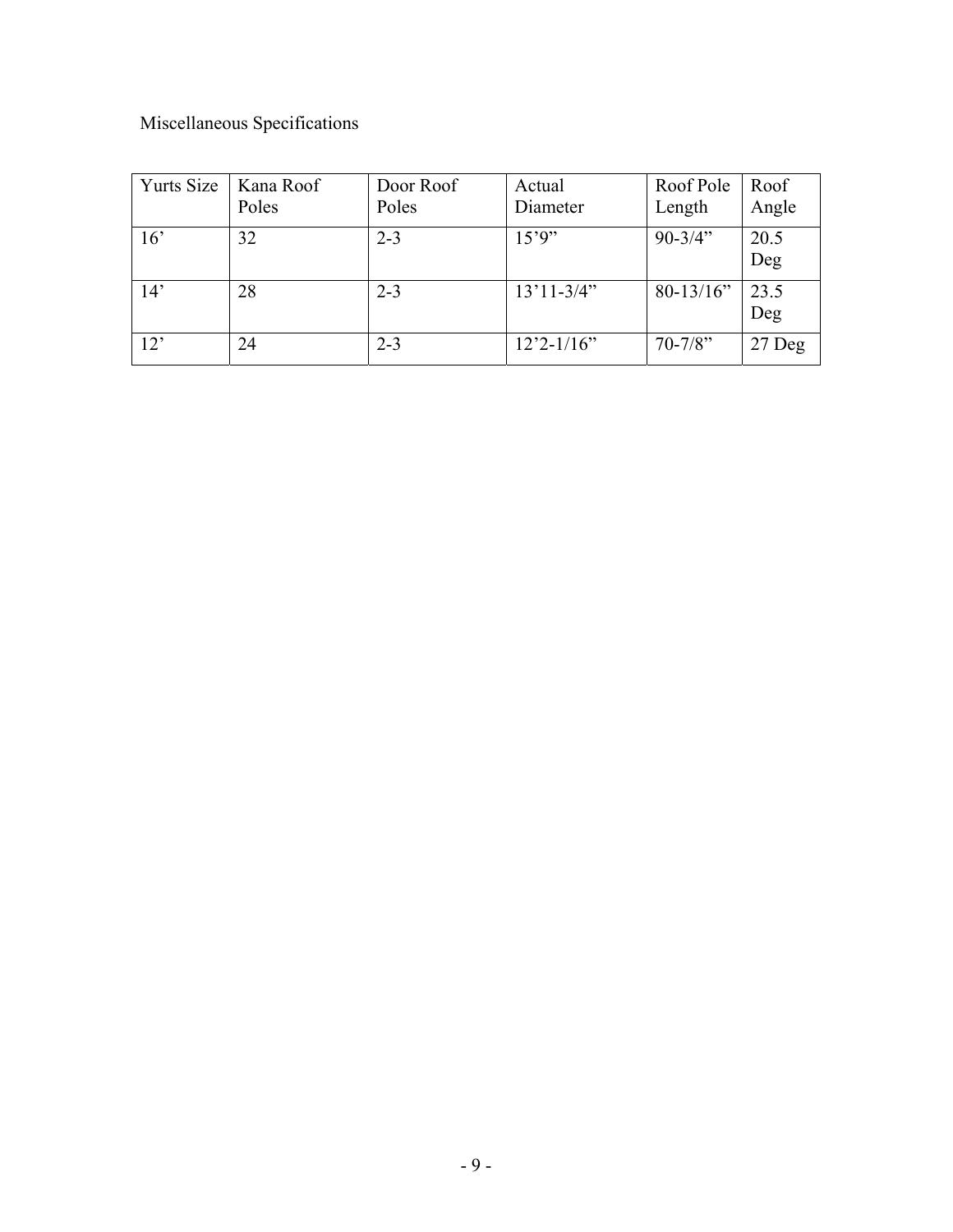# Miscellaneous Specifications

| <b>Yurts Size</b> | Kana Roof<br>Poles | Door Roof<br>Poles | Actual<br>Diameter | Roof Pole<br>Length | Roof<br>Angle |
|-------------------|--------------------|--------------------|--------------------|---------------------|---------------|
| 16'               | 32                 | $2 - 3$            | 15'9''             | $90 - 3/4$ "        | 20.5<br>Deg   |
| 14'               | 28                 | $2 - 3$            | $13'11 - 3/4"$     | $80-13/16"$         | 23.5<br>Deg   |
| 12'               | 24                 | $2 - 3$            | $12'2 - 1/16''$    | $70 - 7/8$ "        | 27 Deg        |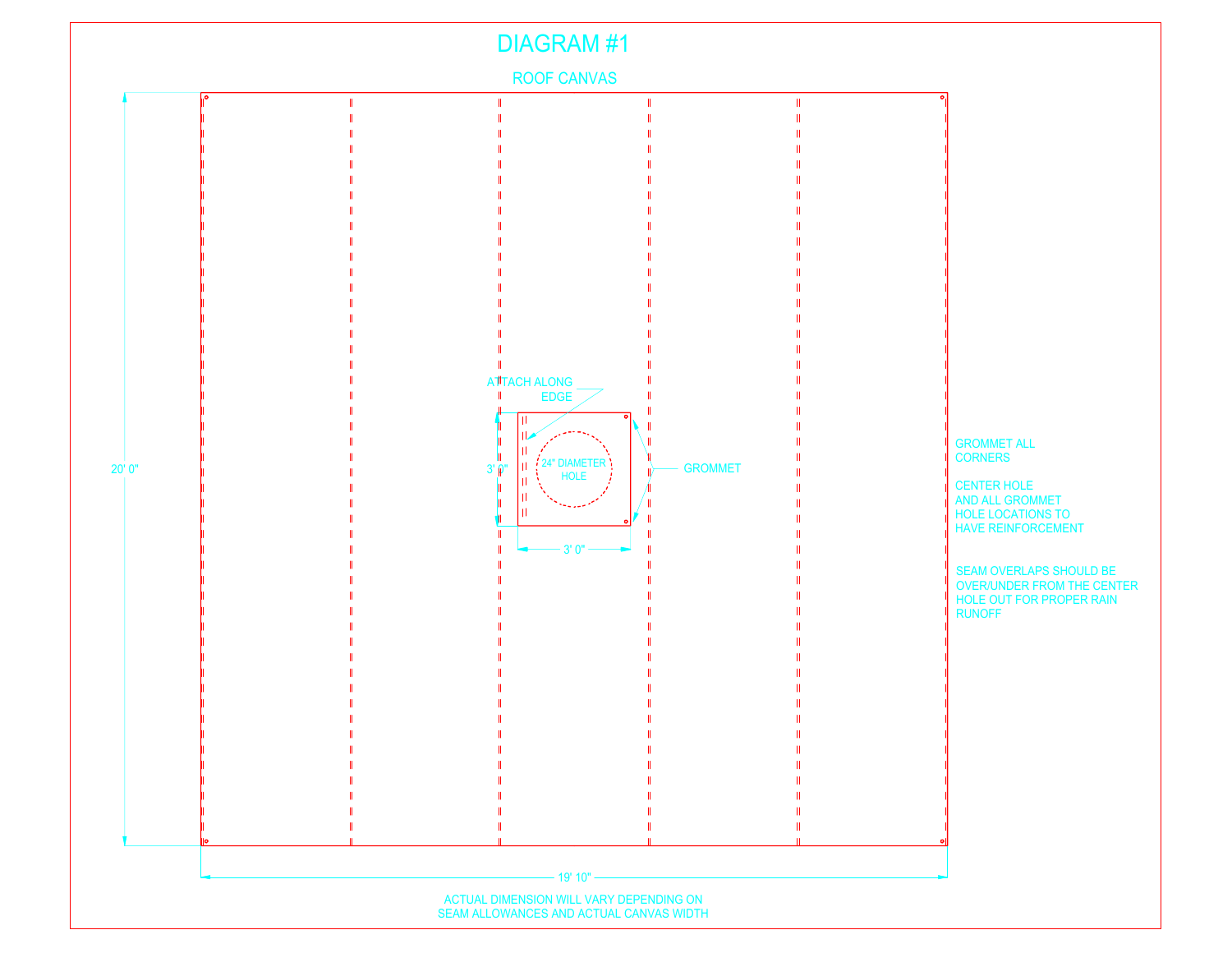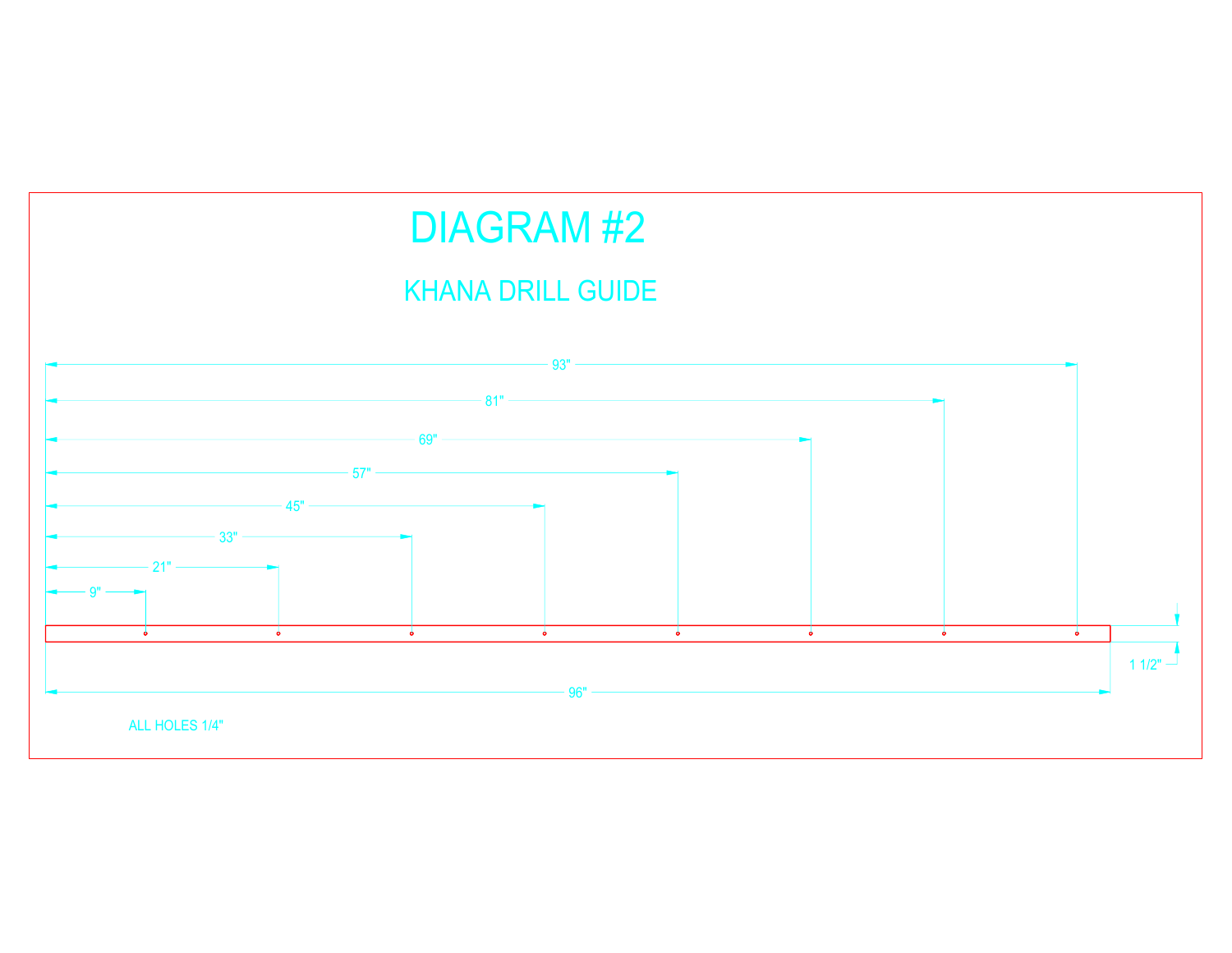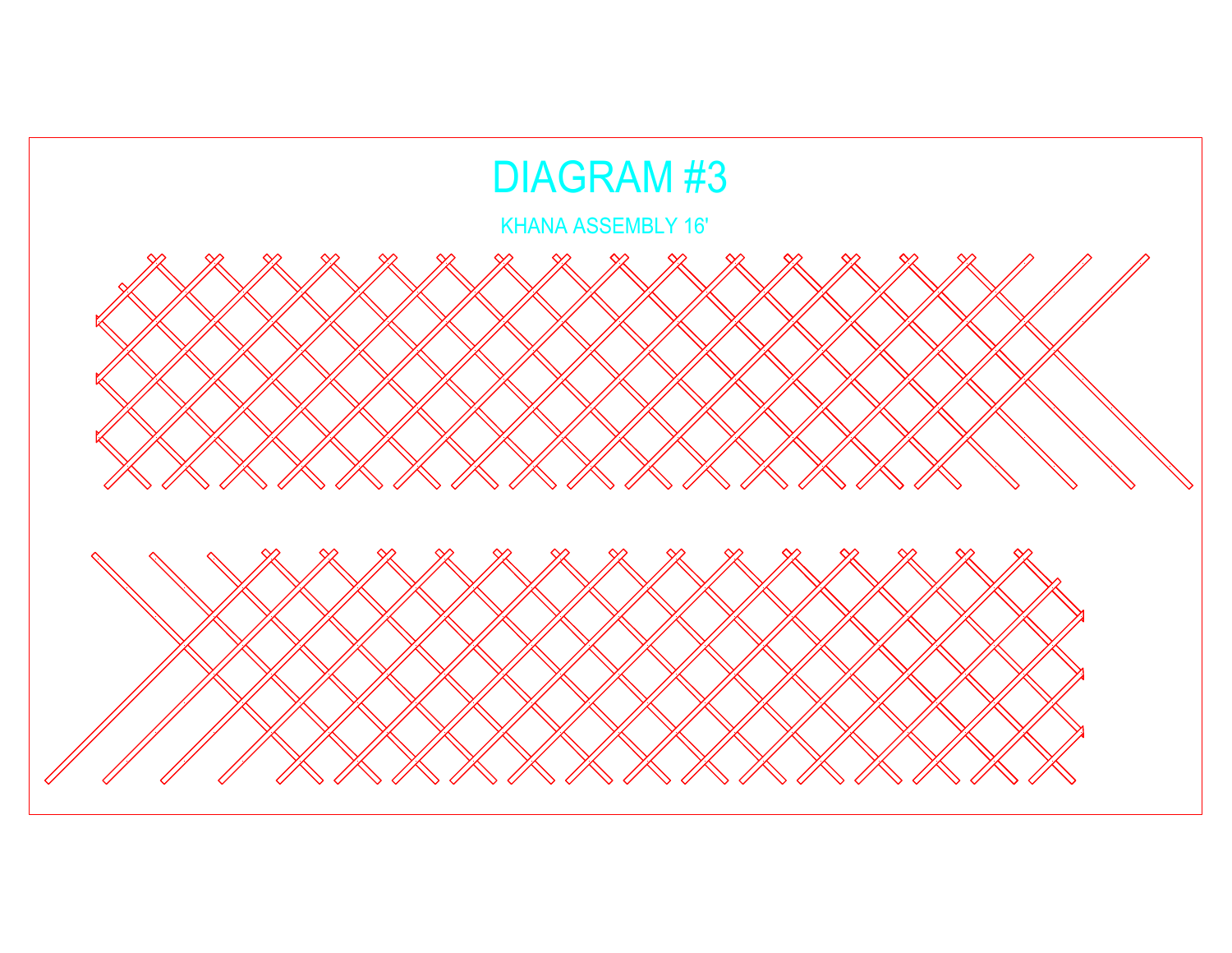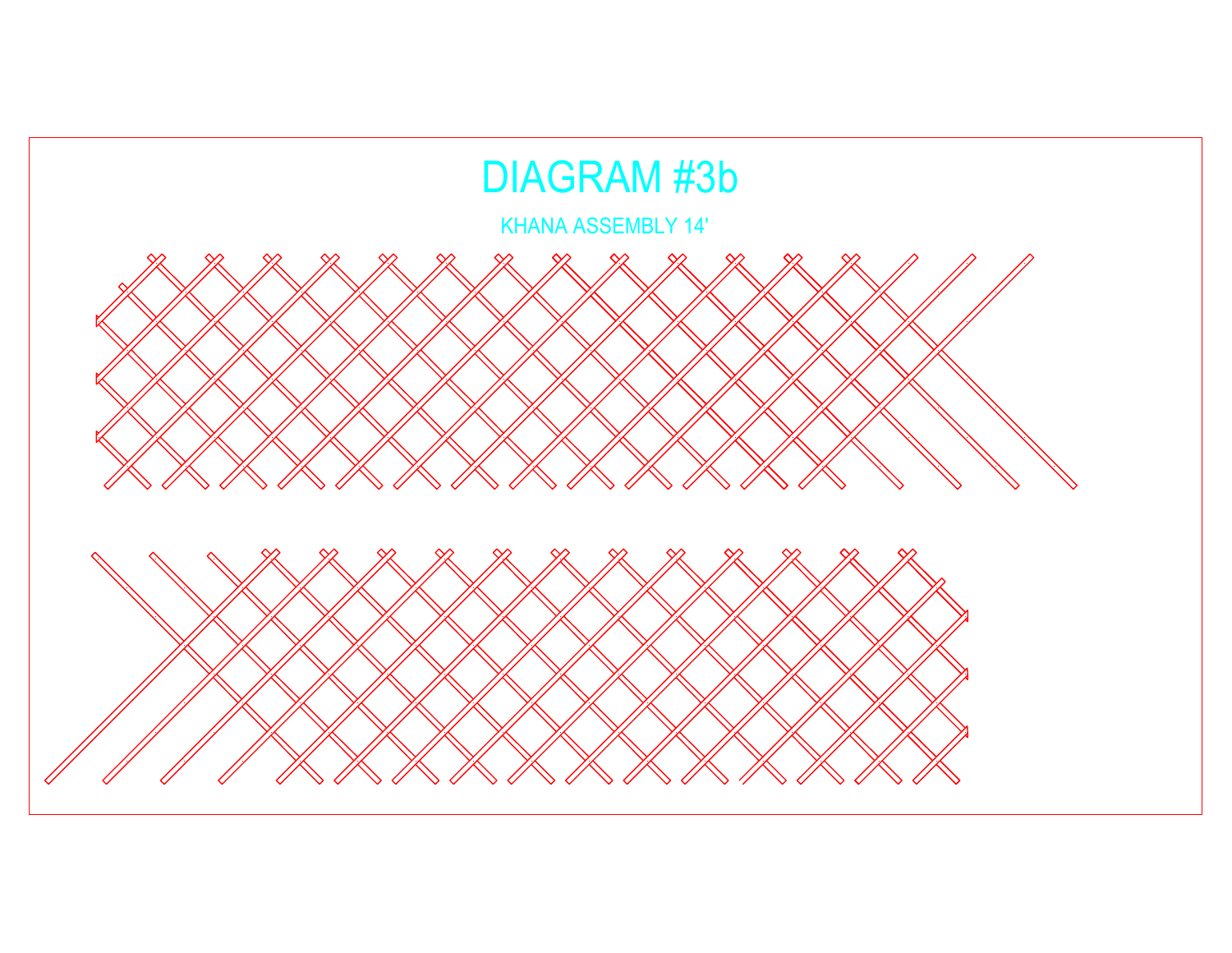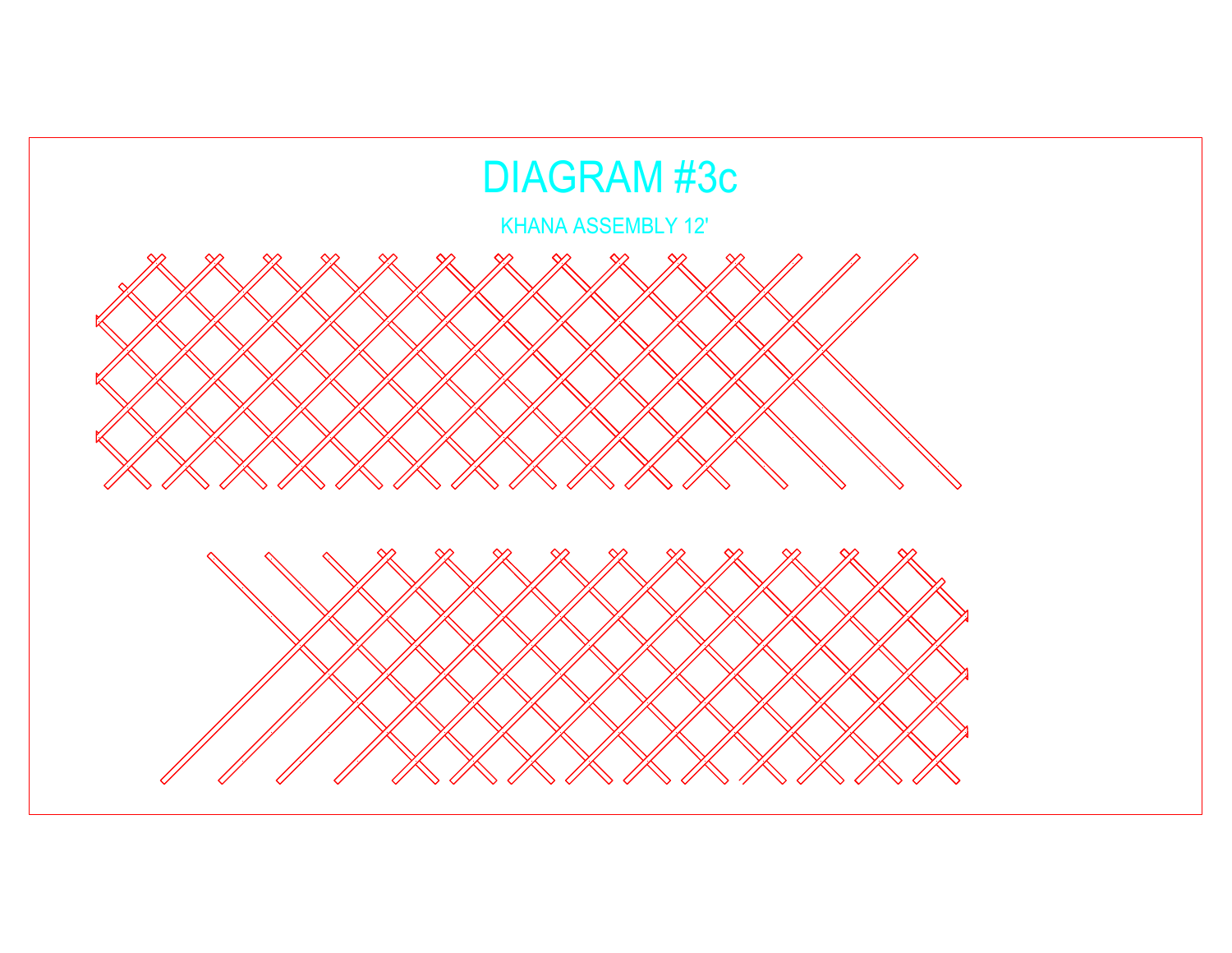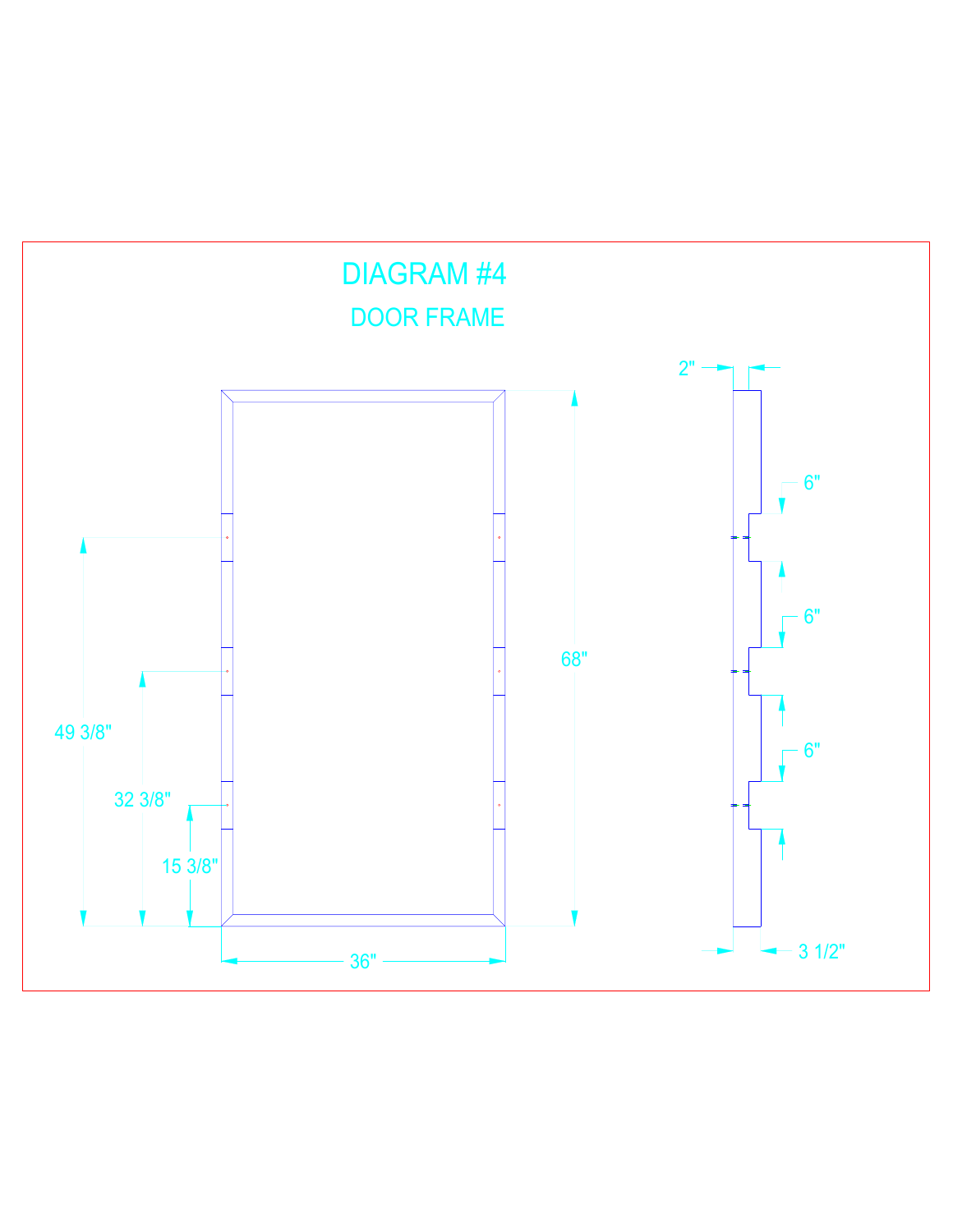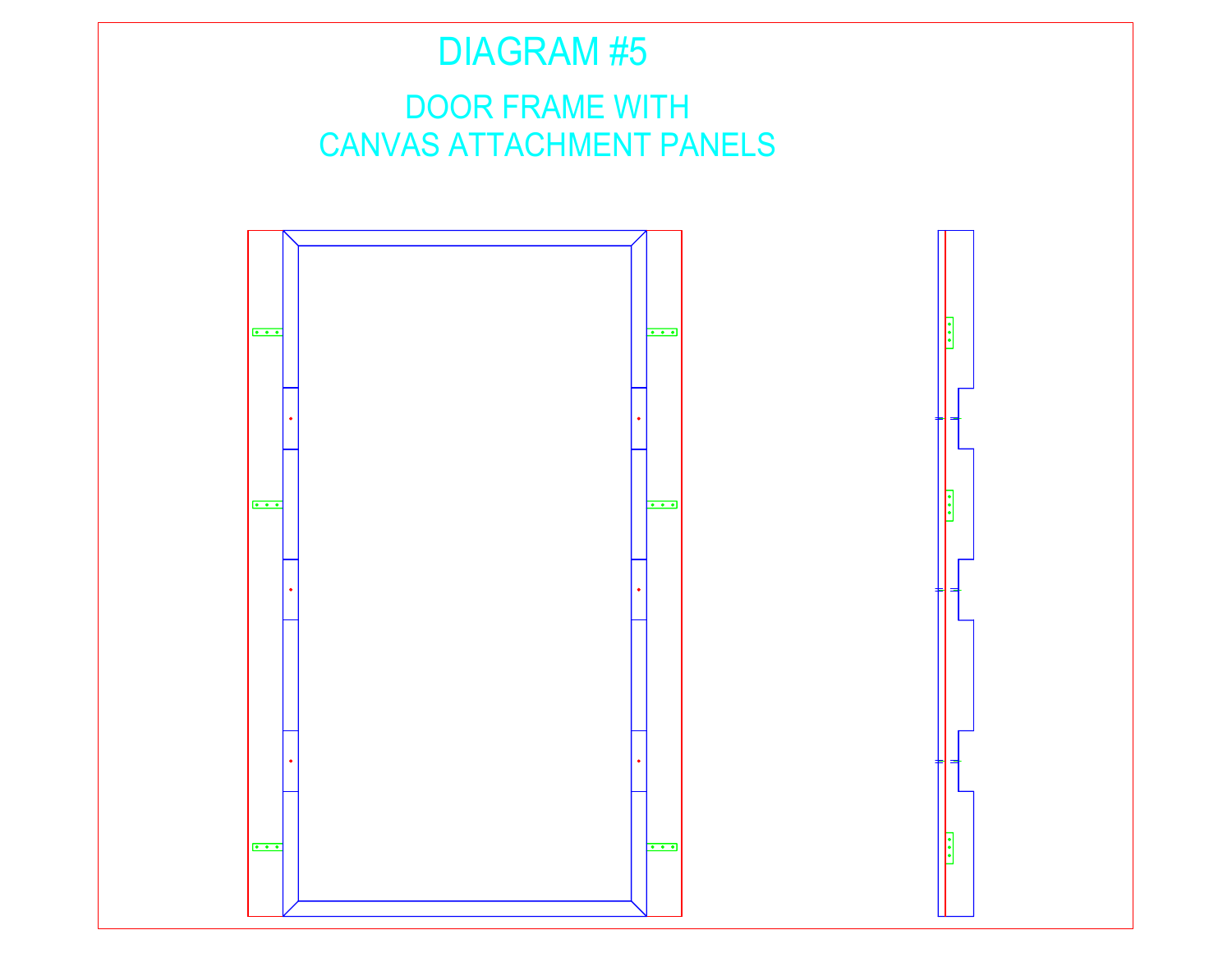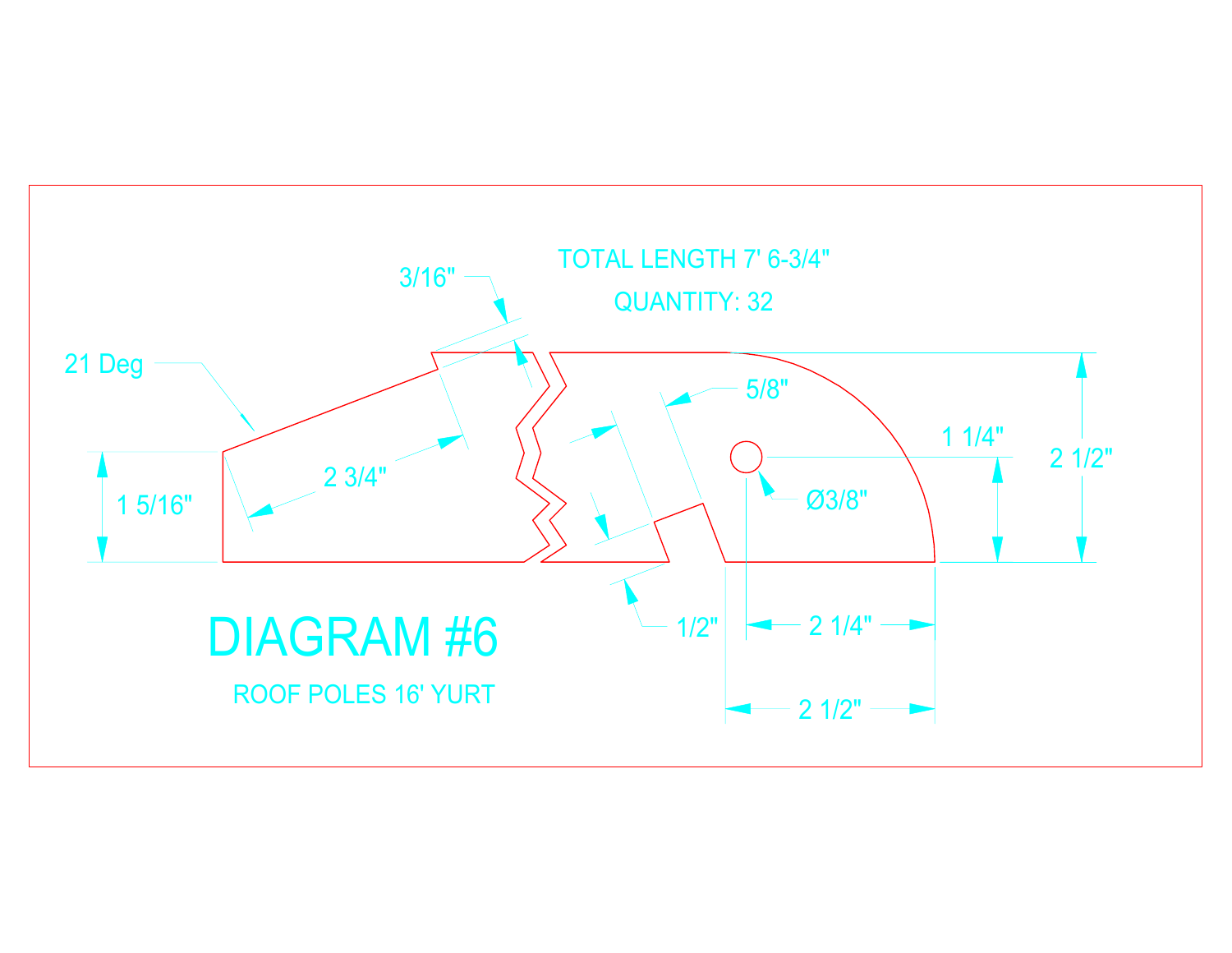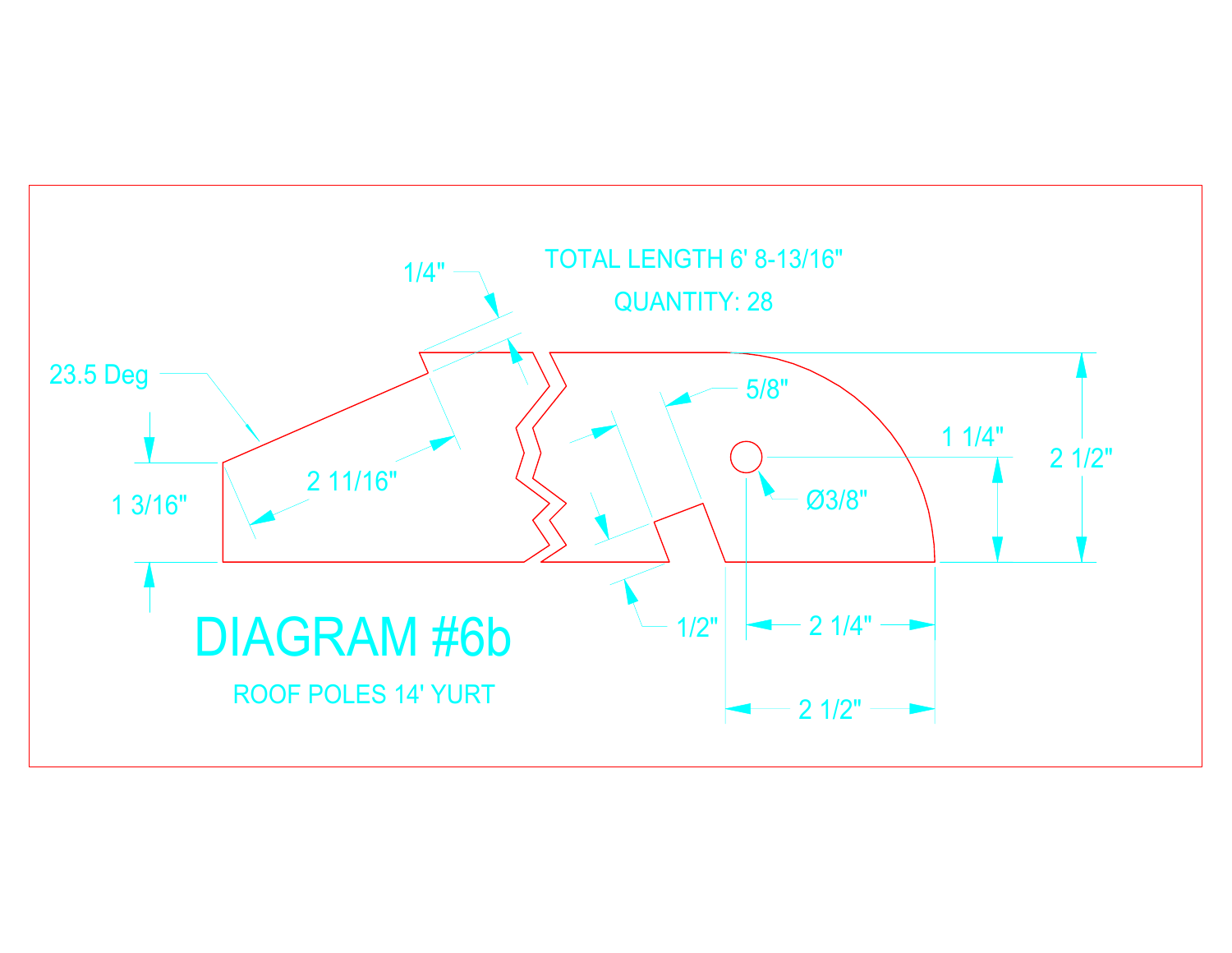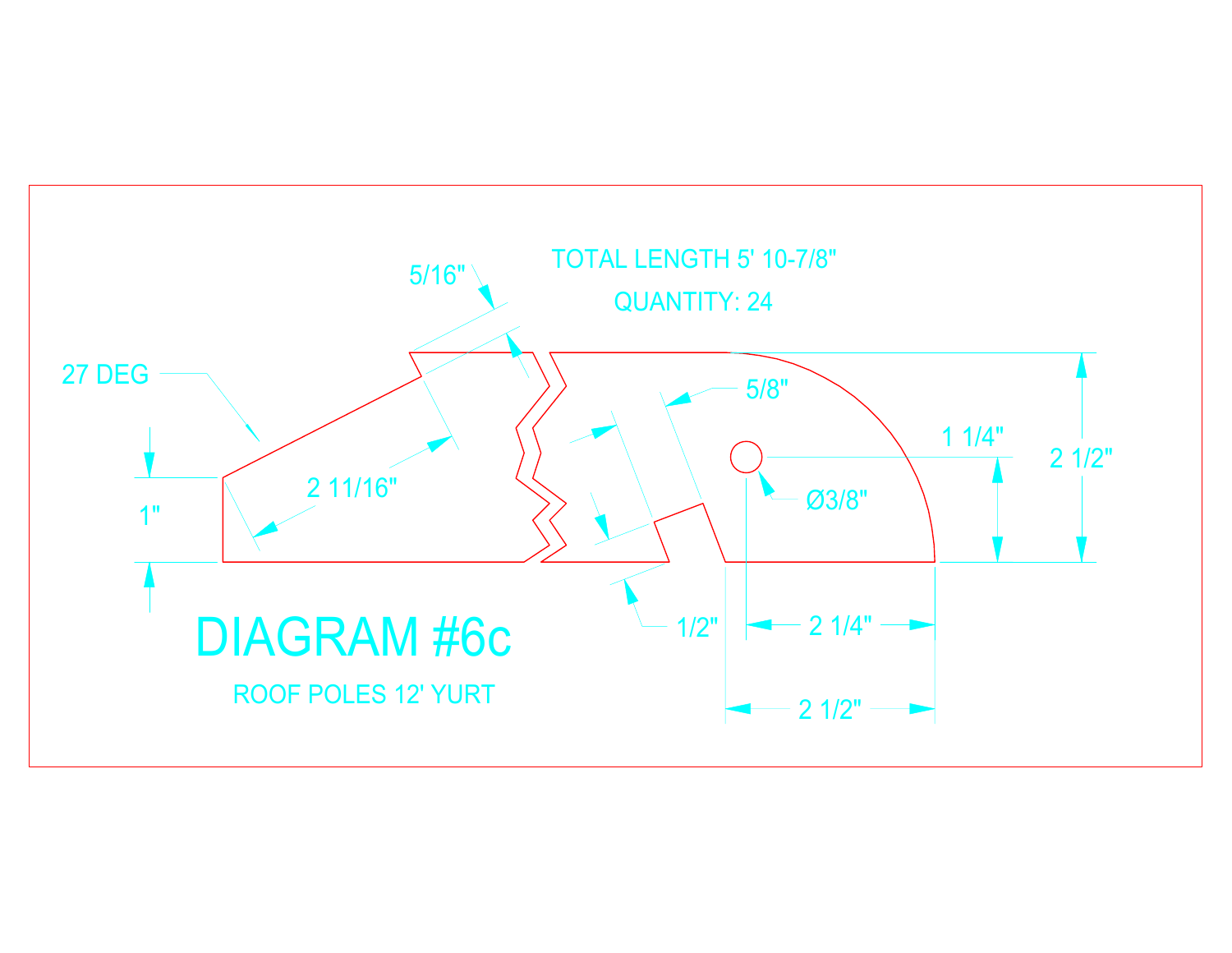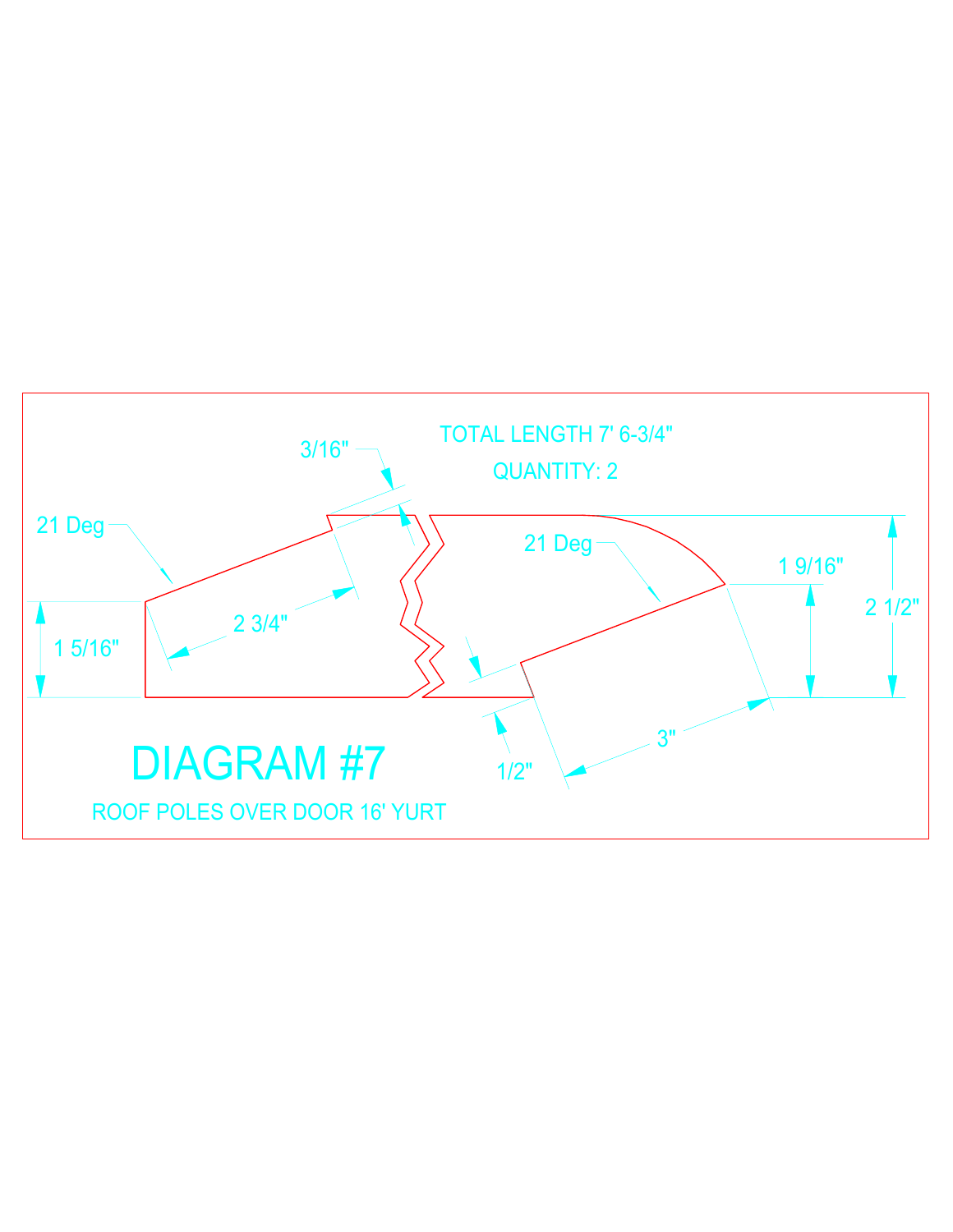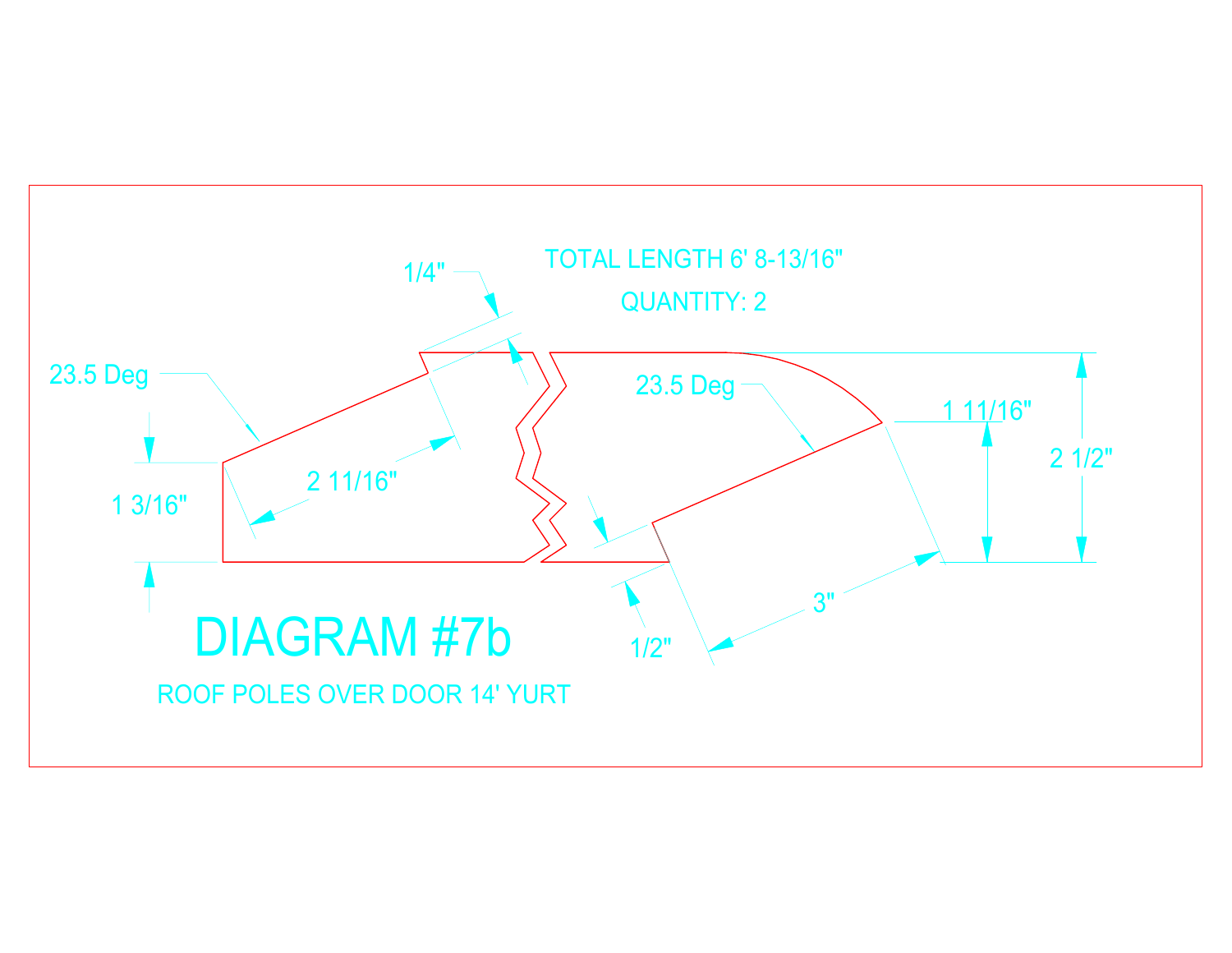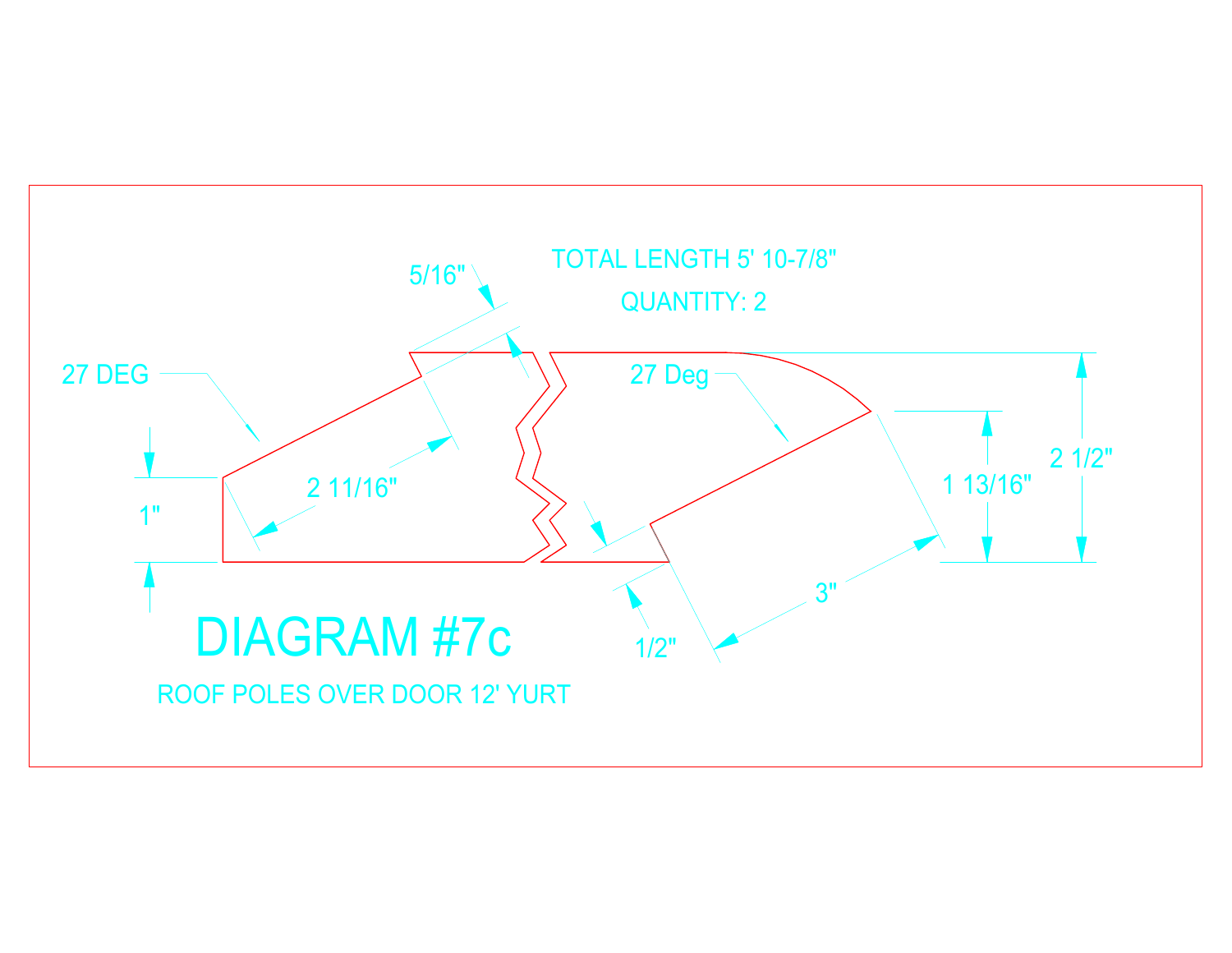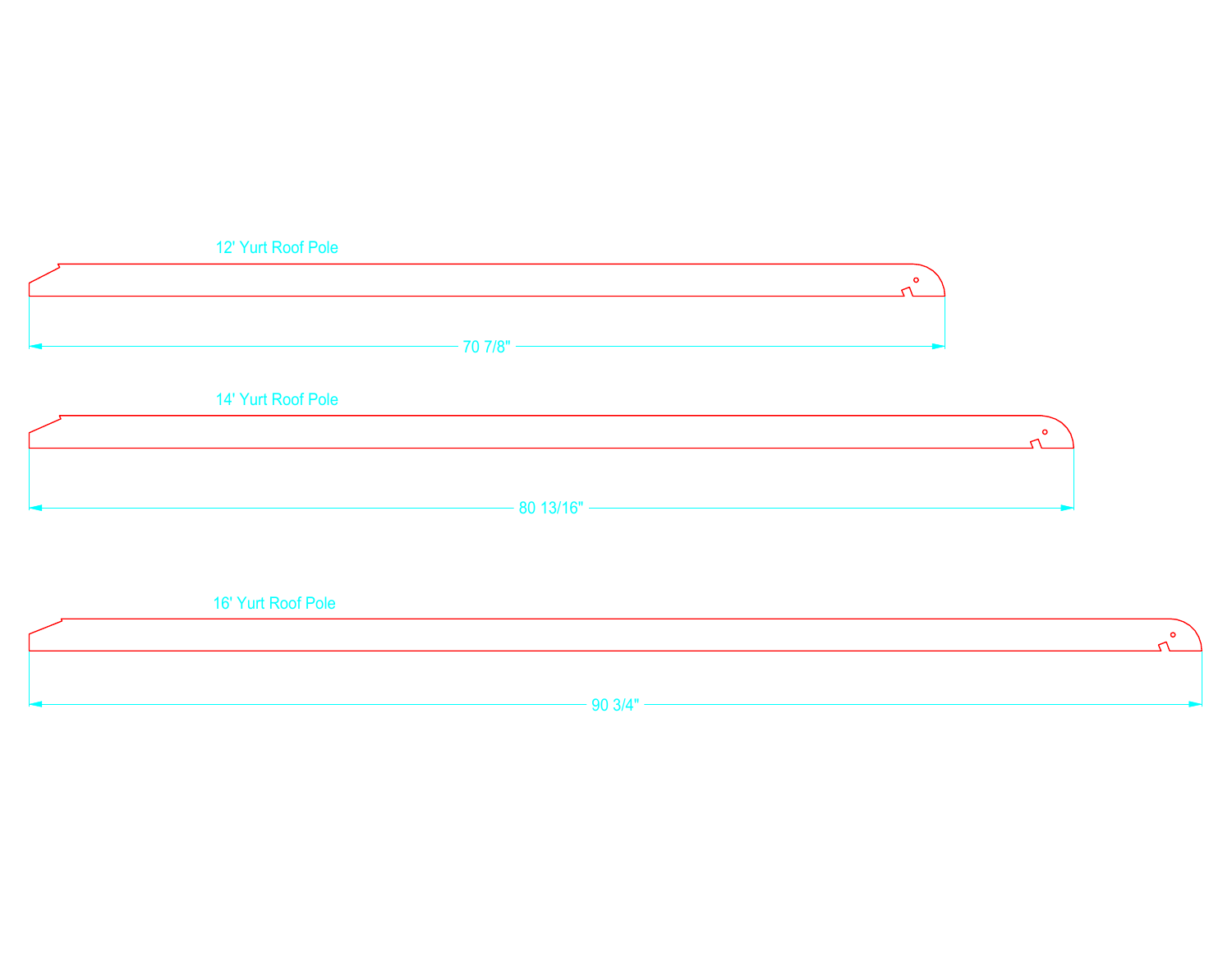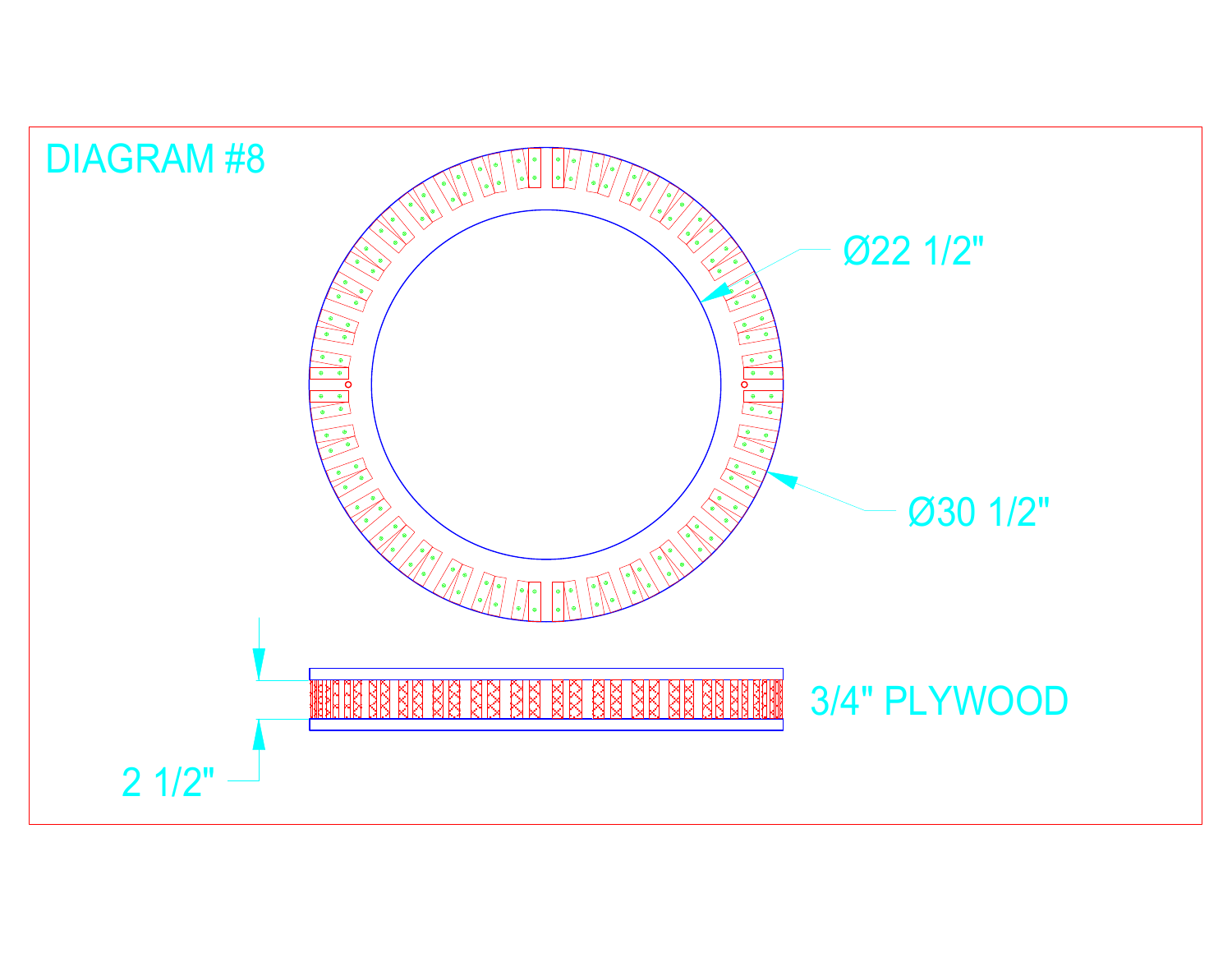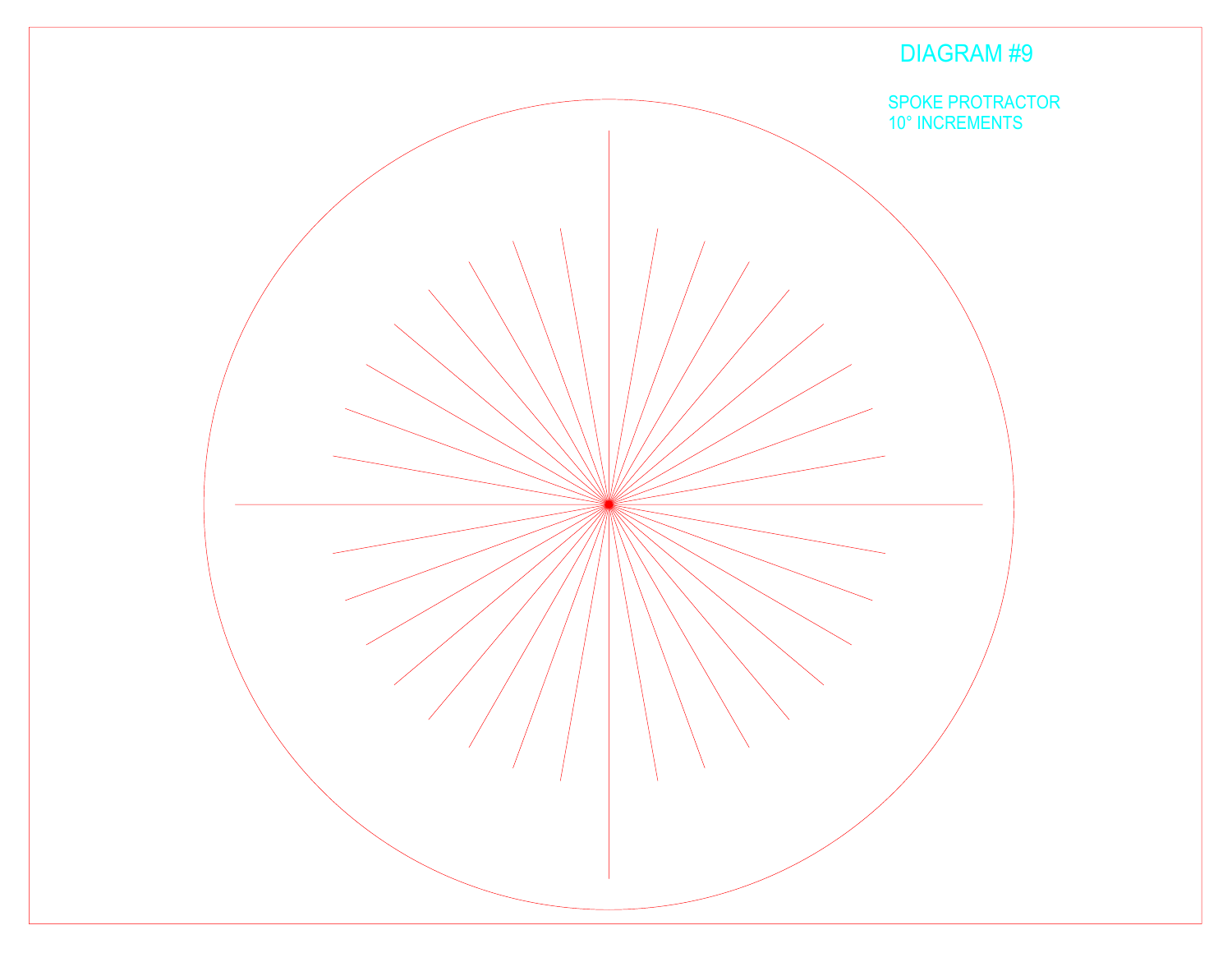